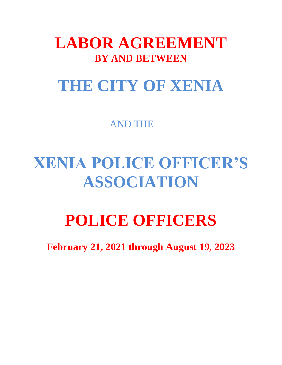### **LABOR AGREEMENT BY AND BETWEEN**

### **THE CITY OF XENIA**

AND THE

## **XENIA POLICE OFFICER'S ASSOCIATION**

# **POLICE OFFICERS**

**February 21, 2021 through August 19, 2023**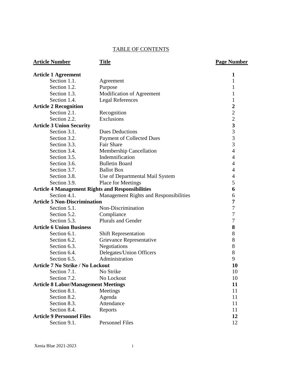#### TABLE OF CONTENTS

Section 1.1. Agreement 1 Section 1.2. Purpose 1 Section 1.3. Modification of Agreement 1 Section 1.4. Legal References 1

Section 2.2. Exclusions 2<br>
2<br>
3 Union Security 3

Section 3.2. Payment of Collected Dues 3 Section 3.3. Fair Share 3 Section 3.4. Membership Cancellation 4 Section 3.5. Indemnification 4

**Article 1 Agreement 1**

**Article 2 Recognition**<br>
Section 2.1. Recognition 2

**Article 3 Union Security**<br>Section 3.1. Dues Deductions 3

Section 2.1. Recognition

Section 3.1. Dues Deductions

| Section 3.6.                               | <b>Bulletin Board</b>                                   | 4                        |
|--------------------------------------------|---------------------------------------------------------|--------------------------|
| Section 3.7.                               | <b>Ballot Box</b>                                       | 4                        |
| Section 3.8.                               | Use of Departmental Mail System                         | $\overline{\mathcal{A}}$ |
| Section 3.9.                               | Place for Meetings                                      | 5                        |
|                                            | <b>Article 4 Management Rights and Responsibilities</b> | 6                        |
| Section 4.1.                               | Management Rights and Responsibilities                  | 6                        |
| <b>Article 5 Non-Discrimination</b>        |                                                         | 7                        |
| Section 5.1.                               | Non-Discrimination                                      | $\boldsymbol{7}$         |
| Section 5.2.                               | Compliance                                              | $\overline{7}$           |
| Section 5.3.                               | <b>Plurals and Gender</b>                               | $\overline{7}$           |
| <b>Article 6 Union Business</b>            |                                                         | 8                        |
| Section 6.1.                               | <b>Shift Representation</b>                             | 8                        |
| Section 6.2.                               | Grievance Representative                                | 8                        |
| Section 6.3.                               | Negotiations                                            | 8                        |
| Section 6.4.                               | Delegates/Union Officers                                | 8                        |
| Section 6.5.                               | Administration                                          | 9                        |
| <b>Article 7 No Strike / No Lockout</b>    |                                                         | 10                       |
| Section 7.1.                               | No Strike                                               | 10                       |
| Section 7.2.                               | No Lockout                                              | 10                       |
| <b>Article 8 Labor/Management Meetings</b> |                                                         | 11                       |
| Section 8.1.                               | Meetings                                                | 11                       |
| Section 8.2.                               | Agenda                                                  | 11                       |
| Section 8.3.                               | Attendance                                              | 11                       |
| Section 8.4.                               | Reports                                                 | 11                       |
| <b>Article 9 Personnel Files</b>           |                                                         | 12                       |

#### **Article Number Title Page Number**

Section 9.1. Personnel Files 12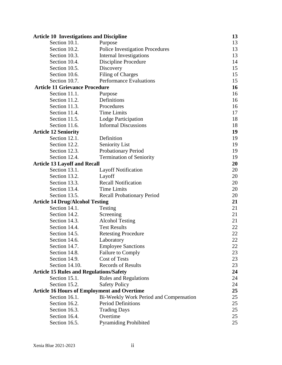| <b>Article 10 Investigations and Discipline</b>    |                                        | 13 |
|----------------------------------------------------|----------------------------------------|----|
| Section 10.1.                                      | Purpose                                | 13 |
| Section 10.2.                                      | <b>Police Investigation Procedures</b> | 13 |
| Section 10.3.                                      | Internal Investigations                | 13 |
| Section 10.4.                                      | Discipline Procedure                   | 14 |
| Section 10.5.                                      | Discovery                              | 15 |
| Section 10.6.                                      | <b>Filing of Charges</b>               | 15 |
| Section 10.7.                                      | <b>Performance Evaluations</b>         | 15 |
| <b>Article 11 Grievance Procedure</b>              |                                        | 16 |
| Section 11.1.                                      | Purpose                                | 16 |
| Section 11.2.                                      | Definitions                            | 16 |
| Section 11.3.                                      | Procedures                             | 16 |
| Section 11.4.                                      | <b>Time Limits</b>                     | 17 |
| Section 11.5.                                      | Lodge Participation                    | 18 |
| Section 11.6.                                      | <b>Informal Discussions</b>            | 18 |
| <b>Article 12 Seniority</b>                        |                                        | 19 |
| Section 12.1.                                      | Definition                             | 19 |
| Section 12.2.                                      | <b>Seniority List</b>                  | 19 |
| Section 12.3.                                      | Probationary Period                    | 19 |
| Section 12.4.                                      | <b>Termination of Seniority</b>        | 19 |
| <b>Article 13 Layoff and Recall</b>                |                                        | 20 |
| Section 13.1.                                      | <b>Layoff Notification</b>             | 20 |
| Section 13.2.                                      | Layoff                                 | 20 |
| Section 13.3.                                      | <b>Recall Notification</b>             | 20 |
| Section 13.4.                                      | <b>Time Limits</b>                     | 20 |
| Section 13.5.                                      | <b>Recall Probationary Period</b>      | 20 |
| <b>Article 14 Drug/Alcohol Testing</b>             |                                        | 21 |
| Section 14.1.                                      | Testing                                | 21 |
| Section 14.2.                                      | Screening                              | 21 |
| Section 14.3.                                      | <b>Alcohol Testing</b>                 | 21 |
| Section 14.4.                                      | <b>Test Results</b>                    | 22 |
| Section 14.5.                                      | <b>Retesting Procedure</b>             | 22 |
| Section 14.6.                                      | Laboratory                             | 22 |
| Section 14.7.                                      | <b>Employee Sanctions</b>              | 22 |
| Section 14.8.                                      | <b>Failure to Comply</b>               | 23 |
| Section 14.9.                                      | <b>Cost of Tests</b>                   | 23 |
| Section 14.10.                                     | <b>Records of Results</b>              | 23 |
| <b>Article 15 Rules and Regulations/Safety</b>     |                                        | 24 |
| Section 15.1.                                      | <b>Rules and Regulations</b>           | 24 |
| Section 15.2.                                      | <b>Safety Policy</b>                   | 24 |
| <b>Article 16 Hours of Employment and Overtime</b> |                                        | 25 |
| Section 16.1.                                      | Bi-Weekly Work Period and Compensation | 25 |
| Section 16.2.                                      | <b>Period Definitions</b>              | 25 |
| Section 16.3.                                      | <b>Trading Days</b>                    | 25 |
| Section 16.4.                                      | Overtime                               | 25 |
| Section 16.5.                                      | <b>Pyramiding Prohibited</b>           | 25 |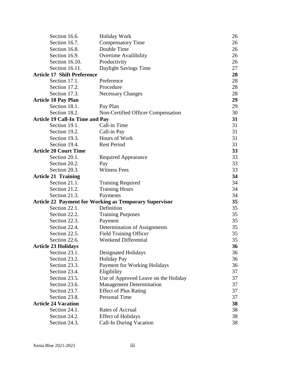| Section 16.6.                          | <b>Holiday Work</b>                                           | 26 |
|----------------------------------------|---------------------------------------------------------------|----|
| Section 16.7.                          | <b>Compensatory Time</b>                                      | 26 |
| Section 16.8.                          | Double Time                                                   | 26 |
| Section 16.9.                          | <b>Overtime Availibility</b>                                  | 26 |
| Section 16.10.                         | Productivity                                                  | 26 |
| Section 16.11.                         | Daylight Savings Time                                         | 27 |
| <b>Article 17 Shift Preference</b>     |                                                               | 28 |
| Section 17.1.                          | Preference                                                    | 28 |
| Section 17.2.                          | Procedure                                                     | 28 |
| Section 17.3.                          | <b>Necessary Changes</b>                                      | 28 |
| <b>Article 18 Pay Plan</b>             |                                                               | 29 |
| Section 18.1.                          | Pay Plan                                                      | 29 |
| Section 18.2.                          | Non-Certified Officer Compensation                            | 30 |
| <b>Article 19 Call-In Time and Pay</b> |                                                               | 31 |
| Section 19.1.                          | Call-in Time                                                  | 31 |
| Section 19.2.                          | Call-in Pay                                                   | 31 |
| Section 19.3.                          | Hours of Work                                                 | 31 |
| Section 19.4.                          | <b>Rest Period</b>                                            | 31 |
| <b>Article 20 Court Time</b>           |                                                               | 33 |
| Section 20.1.                          | Required Appearance                                           | 33 |
| Section 20.2.                          | Pay                                                           | 33 |
| Section 20.3.                          | <b>Witness Fees</b>                                           | 33 |
| <b>Article 21 Training</b>             |                                                               | 34 |
| Section 21.1.                          | <b>Training Required</b>                                      | 34 |
| Section 21.2.                          | <b>Training Hours</b>                                         | 34 |
| Section 21.3.                          | Payments                                                      | 34 |
|                                        | <b>Article 22 Payment for Working as Temporary Supervisor</b> | 35 |
| Section 22.1.                          | Definition                                                    | 35 |
| Section 22.2.                          | <b>Training Purposes</b>                                      | 35 |
| Section 22.3.                          | Payment                                                       | 35 |
| Section 22.4.                          | Determination of Assignments                                  | 35 |
| Section 22.5.                          | <b>Field Training Officer</b>                                 | 35 |
| Section 22.6.                          | Weekend Differential                                          | 35 |
| <b>Article 23 Holidays</b>             |                                                               | 36 |
| Section 23.1.                          | <b>Designated Holidays</b>                                    | 36 |
| Section 23.2.                          | <b>Holiday Pay</b>                                            | 36 |
| Section 23.3.                          | Payment for Working Holidays                                  | 36 |
| Section 23.4.                          | Eligibility                                                   | 37 |
| Section 23.5.                          | Use of Approved Leave on the Holiday                          | 37 |
| Section 23.6.                          | <b>Management Determination</b>                               | 37 |
| Section 23.7.                          | <b>Effect of Plus Rating</b>                                  | 37 |
| Section 23.8.                          | Personal Time                                                 | 37 |
| <b>Article 24 Vacation</b>             |                                                               | 38 |
| Section 24.1.                          | <b>Rates of Accrual</b>                                       | 38 |
| Section 24.2.                          | <b>Effect of Holidays</b>                                     | 38 |
| Section 24.3.                          | <b>Call-In During Vacation</b>                                | 38 |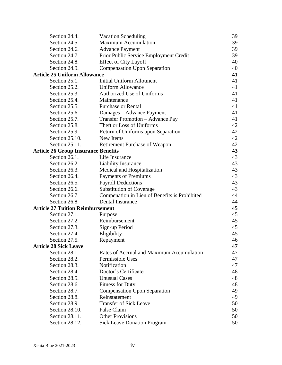| Section 24.4.                              | <b>Vacation Scheduling</b>                    | 39 |
|--------------------------------------------|-----------------------------------------------|----|
| Section 24.5.                              | <b>Maximum Accumulation</b>                   | 39 |
| Section 24.6.                              | <b>Advance Payment</b>                        | 39 |
| Section 24.7.                              | Prior Public Service Employment Credit        | 39 |
| Section 24.8.                              | <b>Effect of City Layoff</b>                  | 40 |
| Section 24.9.                              | <b>Compensation Upon Separation</b>           | 40 |
| <b>Article 25 Uniform Allowance</b>        |                                               | 41 |
| Section 25.1.                              | <b>Initial Uniform Allotment</b>              | 41 |
| Section 25.2.                              | <b>Uniform Allowance</b>                      | 41 |
| Section 25.3.                              | <b>Authorized Use of Uniforms</b>             | 41 |
| Section 25.4.                              | Maintenance                                   | 41 |
| Section 25.5.                              | <b>Purchase or Rental</b>                     | 41 |
| Section 25.6.                              | Damages - Advance Payment                     | 41 |
| Section 25.7.                              | <b>Transfer Promotion - Advance Pay</b>       | 41 |
| Section 25.8.                              | Theft or Loss of Uniforms                     | 42 |
| Section 25.9.                              | Return of Uniforms upon Separation            | 42 |
| Section 25.10.                             | New Items                                     | 42 |
| Section 25.11.                             | Retirement Purchase of Weapon                 | 42 |
| <b>Article 26 Group Insurance Benefits</b> |                                               | 43 |
| Section 26.1.                              | Life Insurance                                | 43 |
| Section 26.2.                              | Liability Insurance                           | 43 |
| Section 26.3.                              | Medical and Hospitalization                   | 43 |
| Section 26.4.                              | <b>Payments of Premiums</b>                   | 43 |
| Section 26.5.                              | <b>Payroll Deductions</b>                     | 43 |
| Section 26.6.                              | <b>Substitution of Coverage</b>               | 43 |
| Section 26.7.                              | Compenation in Lieu of Benefits is Prohibited | 44 |
| Section 26.8.                              | Dental Insurance                              | 44 |
| <b>Article 27 Tuition Reimbursement</b>    |                                               | 45 |
| Section 27.1.                              | Purpose                                       | 45 |
| Section 27.2.                              | Reimbursement                                 | 45 |
| Section 27.3.                              | Sign-up Period                                | 45 |
| Section 27.4.                              | Eligibility                                   | 45 |
| Section 27.5.                              | Repayment                                     | 46 |
| <b>Article 28 Sick Leave</b>               |                                               | 47 |
| Section 28.1.                              | Rates of Accrual and Maximum Accumulation     | 47 |
| Section 28.2.                              | Permissible Uses                              | 47 |
| Section 28.3.                              | Notification                                  | 47 |
| Section 28.4.                              | Doctor's Certificate                          | 48 |
| Section 28.5.                              | <b>Unusual Cases</b>                          | 48 |
| Section 28.6.                              | <b>Fitness for Duty</b>                       | 48 |
| Section 28.7.                              | <b>Compensation Upon Separation</b>           | 49 |
| Section 28.8.                              | Reinstatement                                 | 49 |
| Section 28.9.                              | <b>Transfer of Sick Leave</b>                 | 50 |
| Section 28.10.                             | False Claim                                   | 50 |
| Section 28.11.                             | <b>Other Provisions</b>                       | 50 |
| Section 28.12.                             | <b>Sick Leave Donation Program</b>            | 50 |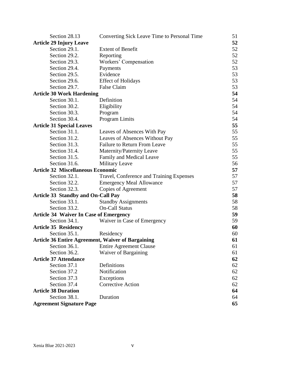| Section 28.13                                            | Converting Sick Leave Time to Personal Time | 51 |
|----------------------------------------------------------|---------------------------------------------|----|
| <b>Article 29 Injury Leave</b>                           |                                             | 52 |
| Section 29.1.                                            | <b>Extent of Benefit</b>                    | 52 |
| Section 29.2.                                            | Reporting                                   | 52 |
| Section 29.3.                                            | Workers' Compensation                       | 52 |
| Section 29.4.                                            | Payments                                    | 53 |
| Section 29.5.                                            | Evidence                                    | 53 |
| Section 29.6.                                            | <b>Effect of Holidays</b>                   | 53 |
| Section 29.7.                                            | False Claim                                 | 53 |
| <b>Article 30 Work Hardening</b>                         |                                             | 54 |
| Section 30.1.                                            | Definition                                  | 54 |
| Section 30.2.                                            | Eligibility                                 | 54 |
| Section 30.3.                                            | Program                                     | 54 |
| Section 30.4.                                            | <b>Program Limits</b>                       | 54 |
| <b>Article 31 Special Leaves</b>                         |                                             | 55 |
| Section 31.1.                                            | Leaves of Absences With Pay                 | 55 |
| Section 31.2.                                            | Leaves of Absences Without Pay              | 55 |
| Section 31.3.                                            | <b>Failure to Return From Leave</b>         | 55 |
| Section 31.4.                                            | Maternity/Paternity Leave                   | 55 |
| Section 31.5.                                            | Family and Medical Leave                    | 55 |
| Section 31.6.                                            | <b>Military Leave</b>                       | 56 |
| <b>Article 32 Miscellaneous Economic</b>                 |                                             | 57 |
| Section 32.1.                                            | Travel, Conference and Training Expenses    | 57 |
| Section 32.2.                                            | <b>Emergency Meal Allowance</b>             | 57 |
| Section 32.3.                                            | Copies of Agreement                         | 57 |
| <b>Article 33 Standby and On-Call Pay</b>                |                                             | 58 |
| Section 33.1.                                            | <b>Standby Assignments</b>                  | 58 |
| Section 33.2.                                            | <b>On-Call Status</b>                       | 58 |
| <b>Article 34 Waiver In Case of Emergency</b>            |                                             | 59 |
| Section 34.1.                                            | Waiver in Case of Emergency                 | 59 |
| <b>Article 35 Residency</b>                              |                                             | 60 |
| Section 35.1.                                            | Residency                                   | 60 |
| <b>Article 36 Entire Agreement, Waiver of Bargaining</b> |                                             | 61 |
| Section 36.1.                                            | <b>Entire Agreement Clause</b>              | 61 |
| Section 36.2.                                            | Waiver of Bargaining                        | 61 |
| <b>Article 37 Attendance</b>                             |                                             | 62 |
| Section 37.1                                             | Definitions                                 | 62 |
| Section 37.2                                             | Notification                                | 62 |
| Section 37.3                                             | Exceptions                                  | 62 |
| Section 37.4                                             | <b>Corrective Action</b>                    | 62 |
| <b>Article 38 Duration</b>                               |                                             | 64 |
| Section 38.1.                                            | Duration                                    | 64 |
| <b>Agreement Signature Page</b>                          |                                             | 65 |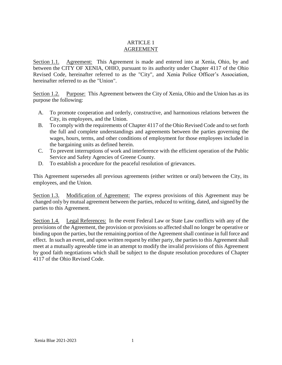#### ARTICLE 1 AGREEMENT

Section 1.1. Agreement: This Agreement is made and entered into at Xenia, Ohio, by and between the CITY OF XENIA, OHIO, pursuant to its authority under Chapter 4117 of the Ohio Revised Code, hereinafter referred to as the "City", and Xenia Police Officer's Association, hereinafter referred to as the "Union".

Section 1.2. Purpose: This Agreement between the City of Xenia, Ohio and the Union has as its purpose the following:

- A. To promote cooperation and orderly, constructive, and harmonious relations between the City, its employees, and the Union.
- B. To comply with the requirements of Chapter 4117 of the Ohio Revised Code and to set forth the full and complete understandings and agreements between the parties governing the wages, hours, terms, and other conditions of employment for those employees included in the bargaining units as defined herein.
- C. To prevent interruptions of work and interference with the efficient operation of the Public Service and Safety Agencies of Greene County.
- D. To establish a procedure for the peaceful resolution of grievances.

This Agreement supersedes all previous agreements (either written or oral) between the City, its employees, and the Union.

Section 1.3. Modification of Agreement: The express provisions of this Agreement may be changed only by mutual agreement between the parties, reduced to writing, dated, and signed by the parties to this Agreement.

Section 1.4. Legal References: In the event Federal Law or State Law conflicts with any of the provisions of the Agreement, the provision or provisions so affected shall no longer be operative or binding upon the parties, but the remaining portion of the Agreement shall continue in full force and effect. In such an event, and upon written request by either party, the parties to this Agreement shall meet at a mutually agreeable time in an attempt to modify the invalid provisions of this Agreement by good faith negotiations which shall be subject to the dispute resolution procedures of Chapter 4117 of the Ohio Revised Code.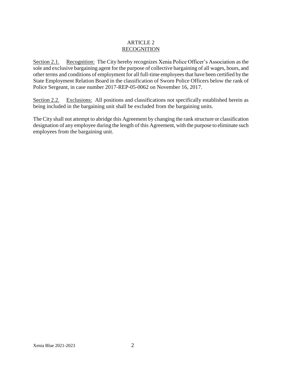#### ARTICLE 2 RECOGNITION

Section 2.1. Recognition: The City hereby recognizes Xenia Police Officer's Association as the sole and exclusive bargaining agent for the purpose of collective bargaining of all wages, hours, and other terms and conditions of employment for all full-time employees that have been certified by the State Employment Relation Board in the classification of Sworn Police Officers below the rank of Police Sergeant, in case number 2017-REP-05-0062 on November 16, 2017.

Section 2.2. Exclusions: All positions and classifications not specifically established herein as being included in the bargaining unit shall be excluded from the bargaining units.

The City shall not attempt to abridge this Agreement by changing the rank structure or classification designation of any employee during the length of this Agreement, with the purpose to eliminate such employees from the bargaining unit.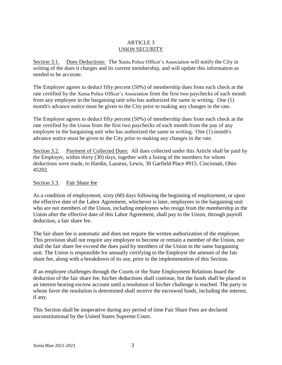#### ARTICLE 3 UNION SECURITY

Section 3.1. Dues Deductions: The Xenia Police Officer's Association will notify the City in writing of the dues it charges and its current membership, and will update this information as needed to be accurate.

The Employer agrees to deduct fifty percent (50%) of membership dues from each check at the rate certified by the Xenia Police Officer's Association from the first two paychecks of each month from any employee in the bargaining unit who has authorized the same in writing. One (1) month's advance notice must be given to the City prior to making any changes in the rate.

The Employer agrees to deduct fifty percent (50%) of membership dues from each check at the rate certified by the Union from the first two paychecks of each month from the pay of any employee in the bargaining unit who has authorized the same in writing. One (1) month's advance notice must be given to the City prior to making any changes in the rate.

Section 3.2. Payment of Collected Dues: All dues collected under this Article shall be paid by the Employer, within thirty (30) days, together with a listing of the members for whom deductions were made, to Hardin, Lazarus, Lewis, 30 Garfield Place #915, Cincinnati, Ohio 45202.

#### Section 3.3. Fair Share fee

As a condition of employment, sixty (60) days following the beginning of employment, or upon the effective date of the Labor Agreement, whichever is later, employees in the bargaining unit who are not members of the Union, including employees who resign from the membership in the Union after the effective date of this Labor Agreement, shall pay to the Union, through payroll deduction, a fair share fee.

The fair share fee is automatic and does not require the written authorization of the employee. This provision shall not require any employee to become or remain a member of the Union, nor shall the fair share fee exceed the dues paid by members of the Union in the same bargaining unit. The Union is responsible for annually certifying to the Employer the amount of the fair share fee, along with a breakdown of its use, prior to the implementation of this Section.

If an employee challenges through the Courts or the State Employment Relations board the deduction of the fair share fee, his/her deductions shall continue, but the funds shall be placed in an interest bearing escrow account until a resolution of his/her challenge is reached. The party in whose favor the resolution is determined shall receive the escrowed funds, including the interest, if any.

This Section shall be inoperative during any period of time Fair Share Fees are declared unconstitutional by the United States Supreme Court.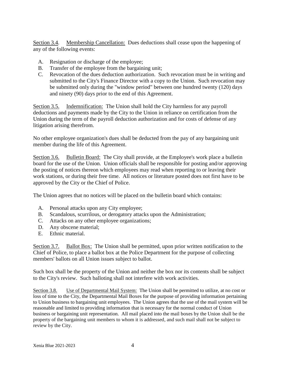Section 3.4. Membership Cancellation: Dues deductions shall cease upon the happening of any of the following events:

- A. Resignation or discharge of the employee;
- B. Transfer of the employee from the bargaining unit;
- C. Revocation of the dues deduction authorization. Such revocation must be in writing and submitted to the City's Finance Director with a copy to the Union. Such revocation may be submitted only during the "window period" between one hundred twenty (120) days and ninety (90) days prior to the end of this Agreement.

Section 3.5. Indemnification: The Union shall hold the City harmless for any payroll deductions and payments made by the City to the Union in reliance on certification from the Union during the term of the payroll deduction authorization and for costs of defense of any litigation arising therefrom.

No other employee organization's dues shall be deducted from the pay of any bargaining unit member during the life of this Agreement.

Section 3.6. Bulletin Board: The City shall provide, at the Employee's work place a bulletin board for the use of the Union. Union officials shall be responsible for posting and/or approving the posting of notices thereon which employees may read when reporting to or leaving their work stations, or during their free time. All notices or literature posted does not first have to be approved by the City or the Chief of Police.

The Union agrees that no notices will be placed on the bulletin board which contains:

- A. Personal attacks upon any City employee;
- B. Scandalous, scurrilous, or derogatory attacks upon the Administration;
- C. Attacks on any other employee organizations;
- D. Any obscene material;
- E. Ethnic material.

Section 3.7. Ballot Box: The Union shall be permitted, upon prior written notification to the Chief of Police, to place a ballot box at the Police Department for the purpose of collecting members' ballots on all Union issues subject to ballot.

Such box shall be the property of the Union and neither the box nor its contents shall be subject to the City's review. Such balloting shall not interfere with work activities.

Section 3.8. Use of Departmental Mail System: The Union shall be permitted to utilize, at no cost or loss of time to the City, the Departmental Mail Boxes for the purpose of providing information pertaining to Union business to bargaining unit employees. The Union agrees that the use of the mail system will be reasonable and limited to providing information that is necessary for the normal conduct of Union business or bargaining unit representation. All mail placed into the mail boxes by the Union shall be the property of the bargaining unit members to whom it is addressed, and such mail shall not be subject to review by the City.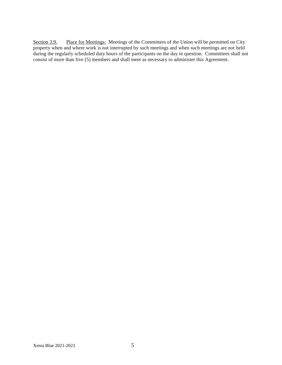Section 3.9. Place for Meetings: Meetings of the Committees of the Union will be permitted on City property when and where work is not interrupted by such meetings and when such meetings are not held during the regularly scheduled duty hours of the participants on the day in question. Committees shall not consist of more than five (5) members and shall meet as necessary to administer this Agreement.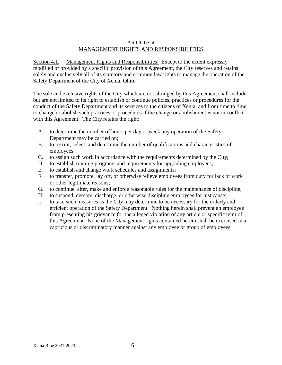#### ARTICLE 4 MANAGEMENT RIGHTS AND RESPONSIBILITIES

Section 4.1. Management Rights and Responsibilities: Except to the extent expressly modified or provided by a specific provision of this Agreement, the City reserves and retains solely and exclusively all of its statutory and common law rights to manage the operation of the Safety Department of the City of Xenia, Ohio.

The sole and exclusive rights of the City which are not abridged by this Agreement shall include but are not limited to its right to establish or continue policies, practices or procedures for the conduct of the Safety Department and its services to the citizens of Xenia, and from time to time, to change or abolish such practices or procedures if the change or abolishment is not in conflict with this Agreement. The City retains the right:

- A. to determine the number of hours per day or week any operation of the Safety Department may be carried on;
- B. to recruit, select, and determine the number of qualifications and characteristics of employees;
- C. to assign such work in accordance with the requirements determined by the City;
- D. to establish training programs and requirements for upgrading employees;
- E. to establish and change work schedules and assignments;
- F. to transfer, promote, lay off, or otherwise relieve employees from duty for lack of work or other legitimate reasons;
- G. to continue, alter, make and enforce reasonable rules for the maintenance of discipline;
- H. to suspend, demote, discharge, or otherwise discipline employees for just cause;
- I. to take such measures as the City may determine to be necessary for the orderly and efficient operation of the Safety Department. Nothing herein shall prevent an employee from presenting his grievance for the alleged violation of any article or specific term of this Agreement. None of the Management rights contained herein shall be exercised in a capricious or discriminatory manner against any employee or group of employees.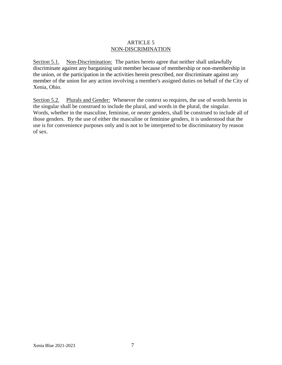#### ARTICLE 5 NON-DISCRIMINATION

Section 5.1. Non-Discrimination: The parties hereto agree that neither shall unlawfully discriminate against any bargaining unit member because of membership or non-membership in the union, or the participation in the activities herein prescribed, nor discriminate against any member of the union for any action involving a member's assigned duties on behalf of the City of Xenia, Ohio.

Section 5.2. Plurals and Gender: Whenever the context so requires, the use of words herein in the singular shall be construed to include the plural, and words in the plural, the singular. Words, whether in the masculine, feminine, or neuter genders, shall be construed to include all of those genders. By the use of either the masculine or feminine genders, it is understood that the use is for convenience purposes only and is not to be interpreted to be discriminatory by reason of sex.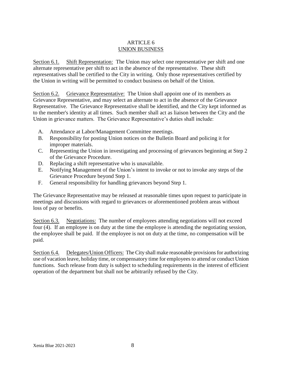#### ARTICLE 6 UNION BUSINESS

Section 6.1. Shift Representation: The Union may select one representative per shift and one alternate representative per shift to act in the absence of the representative. These shift representatives shall be certified to the City in writing. Only those representatives certified by the Union in writing will be permitted to conduct business on behalf of the Union.

Section 6.2. Grievance Representative: The Union shall appoint one of its members as Grievance Representative, and may select an alternate to act in the absence of the Grievance Representative. The Grievance Representative shall be identified, and the City kept informed as to the member's identity at all times. Such member shall act as liaison between the City and the Union in grievance matters. The Grievance Representative's duties shall include:

- A. Attendance at Labor/Management Committee meetings.
- B. Responsibility for posting Union notices on the Bulletin Board and policing it for improper materials.
- C. Representing the Union in investigating and processing of grievances beginning at Step 2 of the Grievance Procedure.
- D. Replacing a shift representative who is unavailable.
- E. Notifying Management of the Union's intent to invoke or not to invoke any steps of the Grievance Procedure beyond Step 1.
- F. General responsibility for handling grievances beyond Step 1.

The Grievance Representative may be released at reasonable times upon request to participate in meetings and discussions with regard to grievances or aforementioned problem areas without loss of pay or benefits.

Section 6.3. Negotiations: The number of employees attending negotiations will not exceed four (4). If an employee is on duty at the time the employee is attending the negotiating session, the employee shall be paid. If the employee is not on duty at the time, no compensation will be paid.

Section 6.4. Delegates/Union Officers: The City shall make reasonable provisions for authorizing use of vacation leave, holiday time, or compensatory time for employees to attend or conduct Union functions. Such release from duty is subject to scheduling requirements in the interest of efficient operation of the department but shall not be arbitrarily refused by the City.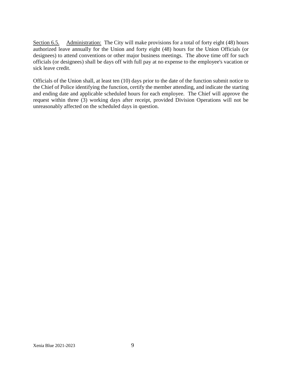Section 6.5. Administration: The City will make provisions for a total of forty eight (48) hours authorized leave annually for the Union and forty eight (48) hours for the Union Officials (or designees) to attend conventions or other major business meetings. The above time off for such officials (or designees) shall be days off with full pay at no expense to the employee's vacation or sick leave credit.

Officials of the Union shall, at least ten (10) days prior to the date of the function submit notice to the Chief of Police identifying the function, certify the member attending, and indicate the starting and ending date and applicable scheduled hours for each employee. The Chief will approve the request within three (3) working days after receipt, provided Division Operations will not be unreasonably affected on the scheduled days in question.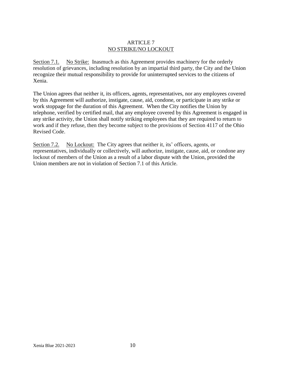#### ARTICLE 7 NO STRIKE/NO LOCKOUT

Section 7.1. No Strike: Inasmuch as this Agreement provides machinery for the orderly resolution of grievances, including resolution by an impartial third party, the City and the Union recognize their mutual responsibility to provide for uninterrupted services to the citizens of Xenia.

The Union agrees that neither it, its officers, agents, representatives, nor any employees covered by this Agreement will authorize, instigate, cause, aid, condone, or participate in any strike or work stoppage for the duration of this Agreement. When the City notifies the Union by telephone, verified by certified mail, that any employee covered by this Agreement is engaged in any strike activity, the Union shall notify striking employees that they are required to return to work and if they refuse, then they become subject to the provisions of Section 4117 of the Ohio Revised Code.

Section 7.2. No Lockout: The City agrees that neither it, its' officers, agents, or representatives, individually or collectively, will authorize, instigate, cause, aid, or condone any lockout of members of the Union as a result of a labor dispute with the Union, provided the Union members are not in violation of Section 7.1 of this Article.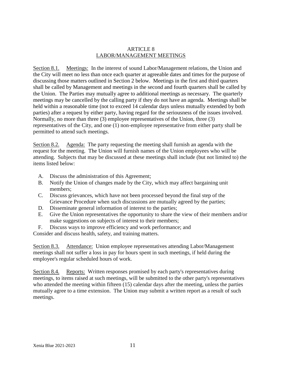#### ARTICLE 8 LABOR/MANAGEMENT MEETINGS

Section 8.1. Meetings: In the interest of sound Labor/Management relations, the Union and the City will meet no less than once each quarter at agreeable dates and times for the purpose of discussing those matters outlined in Section 2 below. Meetings in the first and third quarters shall be called by Management and meetings in the second and fourth quarters shall be called by the Union. The Parties may mutually agree to additional meetings as necessary. The quarterly meetings may be cancelled by the calling party if they do not have an agenda. Meetings shall be held within a reasonable time (not to exceed 14 calendar days unless mutually extended by both parties) after a request by either party, having regard for the seriousness of the issues involved. Normally, no more than three (3) employee representatives of the Union, three (3) representatives of the City, and one (1) non-employee representative from either party shall be permitted to attend such meetings.

Section 8.2. Agenda: The party requesting the meeting shall furnish an agenda with the request for the meeting. The Union will furnish names of the Union employees who will be attending. Subjects that may be discussed at these meetings shall include (but not limited to) the items listed below:

- A. Discuss the administration of this Agreement;
- B. Notify the Union of changes made by the City, which may affect bargaining unit members;
- C. Discuss grievances, which have not been processed beyond the final step of the Grievance Procedure when such discussions are mutually agreed by the parties;
- D. Disseminate general information of interest to the parties;
- E. Give the Union representatives the opportunity to share the view of their members and/or make suggestions on subjects of interest to their members;
- F. Discuss ways to improve efficiency and work performance; and

Consider and discuss health, safety, and training matters.

Section 8.3. Attendance: Union employee representatives attending Labor/Management meetings shall not suffer a loss in pay for hours spent in such meetings, if held during the employee's regular scheduled hours of work.

Section 8.4. Reports: Written responses promised by each party's representatives during meetings, to items raised at such meetings, will be submitted to the other party's representatives who attended the meeting within fifteen (15) calendar days after the meeting, unless the parties mutually agree to a time extension. The Union may submit a written report as a result of such meetings.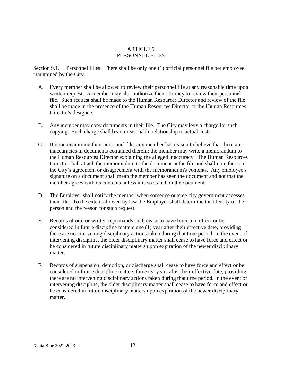#### ARTICLE 9 PERSONNEL FILES

Section 9.1. Personnel Files: There shall be only one (1) official personnel file per employee maintained by the City.

- A. Every member shall be allowed to review their personnel file at any reasonable time upon written request. A member may also authorize their attorney to review their personnel file. Such request shall be made to the Human Resources Director and review of the file shall be made in the presence of the Human Resources Director or the Human Resources Director's designee.
- B. Any member may copy documents in their file. The City may levy a charge for such copying. Such charge shall bear a reasonable relationship to actual costs.
- C. If upon examining their personnel file, any member has reason to believe that there are inaccuracies in documents contained therein; the member may write a memorandum to the Human Resources Director explaining the alleged inaccuracy. The Human Resources Director shall attach the memorandum to the document in the file and shall note thereon the City's agreement or disagreement with the memorandum's contents. Any employee's signature on a document shall mean the member has seen the document and not that the member agrees with its contents unless it is so stated on the document.
- D. The Employer shall notify the member when someone outside city government accesses their file. To the extent allowed by law the Employer shall determine the identity of the person and the reason for such request.
- E. Records of oral or written reprimands shall cease to have force and effect or be considered in future discipline matters one (1) year after their effective date, providing there are no intervening disciplinary actions taken during that time period. In the event of intervening discipline, the older disciplinary matter shall cease to have force and effect or be considered in future disciplinary matters upon expiration of the newer disciplinary matter.
- F. Records of suspension, demotion, or discharge shall cease to have force and effect or be considered in future discipline matters three (3) years after their effective date, providing there are no intervening disciplinary actions taken during that time period. In the event of intervening discipline, the older disciplinary matter shall cease to have force and effect or be considered in future disciplinary matters upon expiration of the newer disciplinary matter.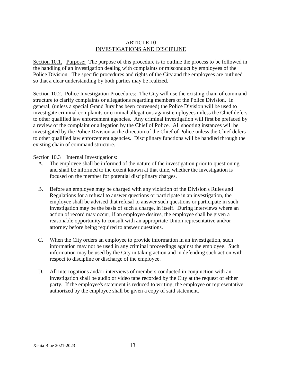#### ARTICLE 10 INVESTIGATIONS AND DISCIPLINE

Section 10.1. Purpose: The purpose of this procedure is to outline the process to be followed in the handling of an investigation dealing with complaints or misconduct by employees of the Police Division. The specific procedures and rights of the City and the employees are outlined so that a clear understanding by both parties may be realized.

Section 10.2. Police Investigation Procedures: The City will use the existing chain of command structure to clarify complaints or allegations regarding members of the Police Division. In general, (unless a special Grand Jury has been convened) the Police Division will be used to investigate criminal complaints or criminal allegations against employees unless the Chief defers to other qualified law enforcement agencies. Any criminal investigation will first be prefaced by a review of the complaint or allegation by the Chief of Police. All shooting instances will be investigated by the Police Division at the direction of the Chief of Police unless the Chief defers to other qualified law enforcement agencies. Disciplinary functions will be handled through the existing chain of command structure.

Section 10.3 Internal Investigations:

- A. The employee shall be informed of the nature of the investigation prior to questioning and shall be informed to the extent known at that time, whether the investigation is focused on the member for potential disciplinary charges.
- B. Before an employee may be charged with any violation of the Division's Rules and Regulations for a refusal to answer questions or participate in an investigation, the employee shall be advised that refusal to answer such questions or participate in such investigation may be the basis of such a charge, in itself. During interviews where an action of record may occur, if an employee desires, the employee shall be given a reasonable opportunity to consult with an appropriate Union representative and/or attorney before being required to answer questions.
- C. When the City orders an employee to provide information in an investigation, such information may not be used in any criminal proceedings against the employee. Such information may be used by the City in taking action and in defending such action with respect to discipline or discharge of the employee.
- D. All interrogations and/or interviews of members conducted in conjunction with an investigation shall be audio or video tape recorded by the City at the request of either party. If the employee's statement is reduced to writing, the employee or representative authorized by the employee shall be given a copy of said statement.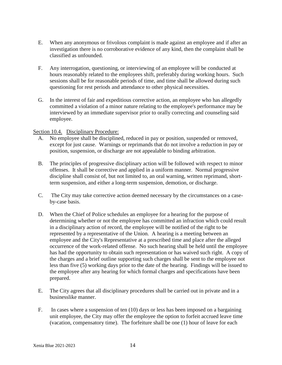- E. When any anonymous or frivolous complaint is made against an employee and if after an investigation there is no corroborative evidence of any kind, then the complaint shall be classified as unfounded.
- F. Any interrogation, questioning, or interviewing of an employee will be conducted at hours reasonably related to the employees shift, preferably during working hours. Such sessions shall be for reasonable periods of time, and time shall be allowed during such questioning for rest periods and attendance to other physical necessities.
- G. In the interest of fair and expeditious corrective action, an employee who has allegedly committed a violation of a minor nature relating to the employee's performance may be interviewed by an immediate supervisor prior to orally correcting and counseling said employee.

#### Section 10.4. Disciplinary Procedure:

- A. No employee shall be disciplined, reduced in pay or position, suspended or removed, except for just cause. Warnings or reprimands that do not involve a reduction in pay or position, suspension, or discharge are not appealable to binding arbitration.
- B. The principles of progressive disciplinary action will be followed with respect to minor offenses. It shall be corrective and applied in a uniform manner. Normal progressive discipline shall consist of, but not limited to, an oral warning, written reprimand, shortterm suspension, and either a long-term suspension, demotion, or discharge.
- C. The City may take corrective action deemed necessary by the circumstances on a caseby-case basis.
- D. When the Chief of Police schedules an employee for a hearing for the purpose of determining whether or not the employee has committed an infraction which could result in a disciplinary action of record, the employee will be notified of the right to be represented by a representative of the Union. A hearing is a meeting between an employee and the City's Representative at a prescribed time and place after the alleged occurrence of the work-related offense. No such hearing shall be held until the employee has had the opportunity to obtain such representation or has waived such right. A copy of the charges and a brief outline supporting such charges shall be sent to the employee not less than five (5) working days prior to the date of the hearing. Findings will be issued to the employee after any hearing for which formal charges and specifications have been prepared.
- E. The City agrees that all disciplinary procedures shall be carried out in private and in a businesslike manner.
- F. In cases where a suspension of ten (10) days or less has been imposed on a bargaining unit employee, the City may offer the employee the option to forfeit accrued leave time (vacation, compensatory time). The forfeiture shall be one (1) hour of leave for each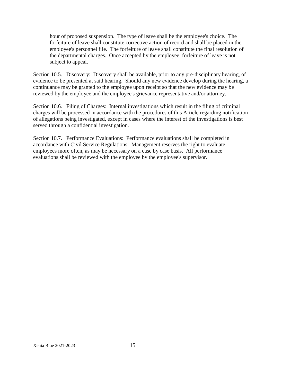hour of proposed suspension. The type of leave shall be the employee's choice. The forfeiture of leave shall constitute corrective action of record and shall be placed in the employee's personnel file. The forfeiture of leave shall constitute the final resolution of the departmental charges. Once accepted by the employee, forfeiture of leave is not subject to appeal.

Section 10.5. Discovery: Discovery shall be available, prior to any pre-disciplinary hearing, of evidence to be presented at said hearing. Should any new evidence develop during the hearing, a continuance may be granted to the employee upon receipt so that the new evidence may be reviewed by the employee and the employee's grievance representative and/or attorney.

Section 10.6. Filing of Charges: Internal investigations which result in the filing of criminal charges will be processed in accordance with the procedures of this Article regarding notification of allegations being investigated, except in cases where the interest of the investigations is best served through a confidential investigation.

Section 10.7. Performance Evaluations: Performance evaluations shall be completed in accordance with Civil Service Regulations. Management reserves the right to evaluate employees more often, as may be necessary on a case by case basis. All performance evaluations shall be reviewed with the employee by the employee's supervisor.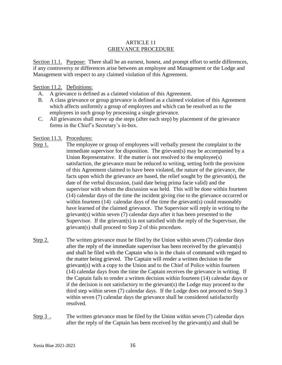#### ARTICLE 11 GRIEVANCE PROCEDURE

Section 11.1. Purpose: There shall be an earnest, honest, and prompt effort to settle differences, if any controversy or differences arise between an employee and Management or the Lodge and Management with respect to any claimed violation of this Agreement.

#### Section 11.2. Definitions:

- A. A grievance is defined as a claimed violation of this Agreement.
- B. A class grievance or group grievance is defined as a claimed violation of this Agreement which affects uniformly a group of employees and which can be resolved as to the employees in such group by processing a single grievance.
- C. All grievances shall move up the steps (after each step) by placement of the grievance forms in the Chief's Secretary's in-box.

#### Section 11.3. Procedures:

- Step 1. The employee or group of employees will verbally present the complaint to the immediate supervisor for disposition. The grievant(s) may be accompanied by a Union Representative. If the matter is not resolved to the employee(s) satisfaction, the grievance must be reduced to writing, setting forth the provision of this Agreement claimed to have been violated, the nature of the grievance, the facts upon which the grievance are based, the relief sought by the grievant(s), the date of the verbal discussion, (said date being prima facie valid) and the supervisor with whom the discussion was held. This will be done within fourteen (14) calendar days of the time the incident giving rise to the grievance occurred or within fourteen (14) calendar days of the time the grievant(s) could reasonably have learned of the claimed grievance. The Supervisor will reply in writing to the grievant(s) within seven (7) calendar days after it has been presented to the Supervisor. If the grievant(s) is not satisfied with the reply of the Supervisor, the grievant(s) shall proceed to Step 2 of this procedure.
- Step 2. The written grievance must be filed by the Union within seven (7) calendar days after the reply of the immediate supervisor has been received by the grievant(s) and shall be filed with the Captain who is in the chain of command with regard to the matter being grieved. The Captain will render a written decision to the grievant(s) with a copy to the Union and to the Chief of Police within fourteen (14) calendar days from the time the Captain receives the grievance in writing. If the Captain fails to render a written decision within fourteen (14) calendar days or if the decision is not satisfactory to the grievant(s) the Lodge may proceed to the third step within seven (7) calendar days. If the Lodge does not proceed to Step 3 within seven (7) calendar days the grievance shall be considered satisfactorily resolved.
- Step 3 . The written grievance must be filed by the Union within seven (7) calendar days after the reply of the Captain has been received by the grievant(s) and shall be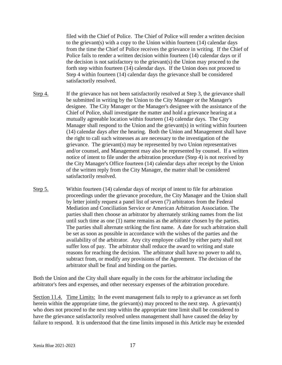filed with the Chief of Police. The Chief of Police will render a written decision to the grievant(s) with a copy to the Union within fourteen (14) calendar days from the time the Chief of Police receives the grievance in writing. If the Chief of Police fails to render a written decision within fourteen (14) calendar days or if the decision is not satisfactory to the grievant(s) the Union may proceed to the forth step within fourteen (14) calendar days. If the Union does not proceed to Step 4 within fourteen (14) calendar days the grievance shall be considered satisfactorily resolved.

- Step 4. If the grievance has not been satisfactorily resolved at Step 3, the grievance shall be submitted in writing by the Union to the City Manager or the Manager's designee. The City Manager or the Manager's designee with the assistance of the Chief of Police, shall investigate the matter and hold a grievance hearing at a mutually agreeable location within fourteen (14) calendar days. The City Manager shall respond to the Union and the grievant(s) in writing within fourteen (14) calendar days after the hearing. Both the Union and Management shall have the right to call such witnesses as are necessary to the investigation of the grievance. The grievant(s) may be represented by two Union representatives and/or counsel, and Management may also be represented by counsel. If a written notice of intent to file under the arbitration procedure (Step 4) is not received by the City Manager's Office fourteen (14) calendar days after receipt by the Union of the written reply from the City Manager, the matter shall be considered satisfactorily resolved.
- Step 5. Within fourteen (14) calendar days of receipt of intent to file for arbitration proceedings under the grievance procedure, the City Manager and the Union shall by letter jointly request a panel list of seven (7) arbitrators from the Federal Mediation and Conciliation Service or American Arbitration Association. The parties shall then choose an arbitrator by alternately striking names from the list until such time as one (1) name remains as the arbitrator chosen by the parties. The parties shall alternate striking the first name. A date for such arbitration shall be set as soon as possible in accordance with the wishes of the parties and the availability of the arbitrator. Any city employee called by either party shall not suffer loss of pay. The arbitrator shall reduce the award to writing and state reasons for reaching the decision. The arbitrator shall have no power to add to, subtract from, or modify any provisions of the Agreement. The decision of the arbitrator shall be final and binding on the parties.

Both the Union and the City shall share equally in the costs for the arbitrator including the arbitrator's fees and expenses, and other necessary expenses of the arbitration procedure.

Section 11.4. Time Limits: In the event management fails to reply to a grievance as set forth herein within the appropriate time, the grievant(s) may proceed to the next step. A grievant(s) who does not proceed to the next step within the appropriate time limit shall be considered to have the grievance satisfactorily resolved unless management shall have caused the delay by failure to respond. It is understood that the time limits imposed in this Article may be extended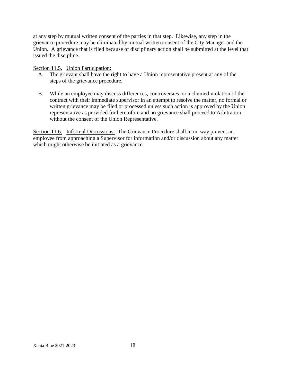at any step by mutual written consent of the parties in that step. Likewise, any step in the grievance procedure may be eliminated by mutual written consent of the City Manager and the Union. A grievance that is filed because of disciplinary action shall be submitted at the level that issued the discipline.

Section 11.5. Union Participation:

- A. The grievant shall have the right to have a Union representative present at any of the steps of the grievance procedure.
- B. While an employee may discuss differences, controversies, or a claimed violation of the contract with their immediate supervisor in an attempt to resolve the matter, no formal or written grievance may be filed or processed unless such action is approved by the Union representative as provided for heretofore and no grievance shall proceed to Arbitration without the consent of the Union Representative.

Section 11.6. Informal Discussions: The Grievance Procedure shall in no way prevent an employee from approaching a Supervisor for information and/or discussion about any matter which might otherwise be initiated as a grievance.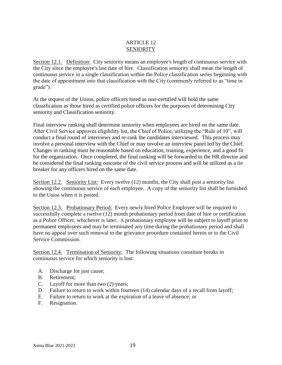#### ARTICLE 12 SENIORITY

Section 12.1. Definition: City seniority means an employee's length of continuous service with the City since the employee's last date of hire. Classification seniority shall mean the length of continuous service in a single classification within the Police classification series beginning with the date of appointment into that classification with the City (commonly referred to as "time in grade").

At the request of the Union, police officers hired as non-certified will hold the same classification as those hired as certified police officers for the purposes of determining City seniority and Classification seniority.

Final interview ranking shall determine seniority when employees are hired on the same date. After Civil Service approves eligibility list, the Chief of Police, utilizing the "Rule of 10", will conduct a final round of interviews and re-rank the candidates interviewed. This process may involve a personal interview with the Chief or may involve an interview panel led by the Chief. Changes in ranking must be reasonable based on education, training, experience, and a good fit for the organization. Once completed, the final ranking will be forwarded to the HR director and be considered the final ranking outcome of the civil service process and will be utilized as a tie breaker for any officers hired on the same date.

Section 12.2. Seniority List: Every twelve (12) months, the City shall post a seniority list showing the continuous service of each employee. A copy of the seniority list shall be furnished to the Union when it is posted.

Section 12.3. Probationary Period: Every newly hired Police Employee will be required to successfully complete a twelve (12) month probationary period from date of hire or certification as a Police Officer, whichever is later. A probationary employee will be subject to layoff prior to permanent employees and may be terminated any time during the probationary period and shall have no appeal over such removal to the grievance procedure contained herein or to the Civil Service Commission.

Section 12.4. Termination of Seniority: The following situations constitute breaks in continuous service for which seniority is lost:

- A. Discharge for just cause;
- B. Retirement;
- C. Layoff for more than two (2) years;
- D. Failure to return to work within fourteen (14) calendar days of a recall from layoff;
- E. Failure to return to work at the expiration of a leave of absence; or
- F. Resignation.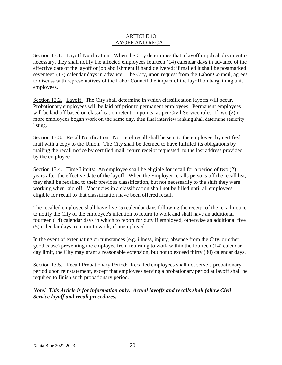#### ARTICLE 13 LAYOFF AND RECALL

Section 13.1. Layoff Notification: When the City determines that a layoff or job abolishment is necessary, they shall notify the affected employees fourteen (14) calendar days in advance of the effective date of the layoff or job abolishment if hand delivered; if mailed it shall be postmarked seventeen (17) calendar days in advance. The City, upon request from the Labor Council, agrees to discuss with representatives of the Labor Council the impact of the layoff on bargaining unit employees.

Section 13.2. Layoff: The City shall determine in which classification layoffs will occur. Probationary employees will be laid off prior to permanent employees. Permanent employees will be laid off based on classification retention points, as per Civil Service rules. If two (2) or more employees began work on the same day, then final interview ranking shall determine seniority listing.

Section 13.3. Recall Notification: Notice of recall shall be sent to the employee, by certified mail with a copy to the Union. The City shall be deemed to have fulfilled its obligations by mailing the recall notice by certified mail, return receipt requested, to the last address provided by the employee.

Section 13.4. Time Limits: An employee shall be eligible for recall for a period of two (2) years after the effective date of the layoff. When the Employer recalls persons off the recall list, they shall be recalled to their previous classification, but not necessarily to the shift they were working when laid off. Vacancies in a classification shall not be filled until all employees eligible for recall to that classification have been offered recall.

The recalled employee shall have five (5) calendar days following the receipt of the recall notice to notify the City of the employee's intention to return to work and shall have an additional fourteen (14) calendar days in which to report for duty if employed, otherwise an additional five (5) calendar days to return to work, if unemployed.

In the event of extenuating circumstances (e.g. illness, injury, absence from the City, or other good cause) preventing the employee from returning to work within the fourteen (14) calendar day limit, the City may grant a reasonable extension, but not to exceed thirty (30) calendar days.

Section 13.5. Recall Probationary Period: Recalled employees shall not serve a probationary period upon reinstatement, except that employees serving a probationary period at layoff shall be required to finish such probationary period.

*Note! This Article is for information only. Actual layoffs and recalls shall follow Civil Service layoff and recall procedures.*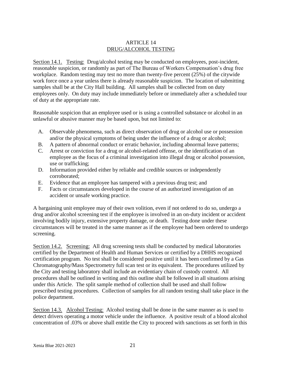#### ARTICLE 14 DRUG/ALCOHOL TESTING

Section 14.1. Testing: Drug/alcohol testing may be conducted on employees, post-incident, reasonable suspicion, or randomly as part of The Bureau of Workers Compensation's drug free workplace. Random testing may test no more than twenty-five percent (25%) of the citywide work force once a year unless there is already reasonable suspicion. The location of submitting samples shall be at the City Hall building. All samples shall be collected from on duty employees only. On duty may include immediately before or immediately after a scheduled tour of duty at the appropriate rate.

Reasonable suspicion that an employee used or is using a controlled substance or alcohol in an unlawful or abusive manner may be based upon, but not limited to:

- A. Observable phenomena, such as direct observation of drug or alcohol use or possession and/or the physical symptoms of being under the influence of a drug or alcohol;
- B. A pattern of abnormal conduct or erratic behavior, including abnormal leave patterns;
- C. Arrest or conviction for a drug or alcohol-related offense, or the identification of an employee as the focus of a criminal investigation into illegal drug or alcohol possession, use or trafficking;
- D. Information provided either by reliable and credible sources or independently corroborated;
- E. Evidence that an employee has tampered with a previous drug test; and
- F. Facts or circumstances developed in the course of an authorized investigation of an accident or unsafe working practice.

A bargaining unit employee may of their own volition, even if not ordered to do so, undergo a drug and/or alcohol screening test if the employee is involved in an on-duty incident or accident involving bodily injury, extensive property damage, or death. Testing done under these circumstances will be treated in the same manner as if the employee had been ordered to undergo screening.

Section 14.2. Screening: All drug screening tests shall be conducted by medical laboratories certified by the Department of Health and Human Services or certified by a DHHS recognized certification program. No test shall be considered positive until it has been confirmed by a Gas Chromatography/Mass Spectrometry full scan test or its equivalent. The procedures utilized by the City and testing laboratory shall include an evidentiary chain of custody control. All procedures shall be outlined in writing and this outline shall be followed in all situations arising under this Article. The split sample method of collection shall be used and shall follow prescribed testing procedures. Collection of samples for all random testing shall take place in the police department.

Section 14.3. Alcohol Testing: Alcohol testing shall be done in the same manner as is used to detect drivers operating a motor vehicle under the influence. A positive result of a blood alcohol concentration of .03% or above shall entitle the City to proceed with sanctions as set forth in this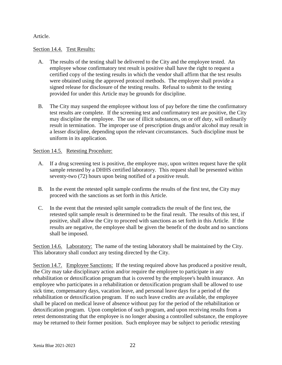#### Article.

#### Section 14.4. Test Results:

- A. The results of the testing shall be delivered to the City and the employee tested. An employee whose confirmatory test result is positive shall have the right to request a certified copy of the testing results in which the vendor shall affirm that the test results were obtained using the approved protocol methods. The employee shall provide a signed release for disclosure of the testing results. Refusal to submit to the testing provided for under this Article may be grounds for discipline.
- B. The City may suspend the employee without loss of pay before the time the confirmatory test results are complete. If the screening test and confirmatory test are positive, the City may discipline the employee. The use of illicit substances, on or off duty, will ordinarily result in termination. The improper use of prescription drugs and/or alcohol may result in a lesser discipline, depending upon the relevant circumstances. Such discipline must be uniform in its application.

#### Section 14.5. Retesting Procedure:

- A. If a drug screening test is positive, the employee may, upon written request have the split sample retested by a DHHS certified laboratory. This request shall be presented within seventy-two (72) hours upon being notified of a positive result.
- B. In the event the retested split sample confirms the results of the first test, the City may proceed with the sanctions as set forth in this Article.
- C. In the event that the retested split sample contradicts the result of the first test, the retested split sample result is determined to be the final result. The results of this test, if positive, shall allow the City to proceed with sanctions as set forth in this Article. If the results are negative, the employee shall be given the benefit of the doubt and no sanctions shall be imposed.

Section 14.6. Laboratory: The name of the testing laboratory shall be maintained by the City. This laboratory shall conduct any testing directed by the City.

Section 14.7. Employee Sanctions: If the testing required above has produced a positive result, the City may take disciplinary action and/or require the employee to participate in any rehabilitation or detoxification program that is covered by the employee's health insurance. An employee who participates in a rehabilitation or detoxification program shall be allowed to use sick time, compensatory days, vacation leave, and personal leave days for a period of the rehabilitation or detoxification program. If no such leave credits are available, the employee shall be placed on medical leave of absence without pay for the period of the rehabilitation or detoxification program. Upon completion of such program, and upon receiving results from a retest demonstrating that the employee is no longer abusing a controlled substance, the employee may be returned to their former position. Such employee may be subject to periodic retesting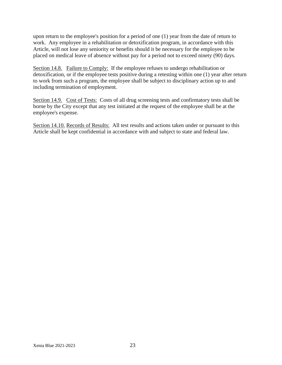upon return to the employee's position for a period of one (1) year from the date of return to work. Any employee in a rehabilitation or detoxification program, in accordance with this Article, will not lose any seniority or benefits should it be necessary for the employee to be placed on medical leave of absence without pay for a period not to exceed ninety (90) days.

Section 14.8. Failure to Comply: If the employee refuses to undergo rehabilitation or detoxification, or if the employee tests positive during a retesting within one (1) year after return to work from such a program, the employee shall be subject to disciplinary action up to and including termination of employment.

Section 14.9. Cost of Tests: Costs of all drug screening tests and confirmatory tests shall be borne by the City except that any test initiated at the request of the employee shall be at the employee's expense.

Section 14.10. Records of Results: All test results and actions taken under or pursuant to this Article shall be kept confidential in accordance with and subject to state and federal law.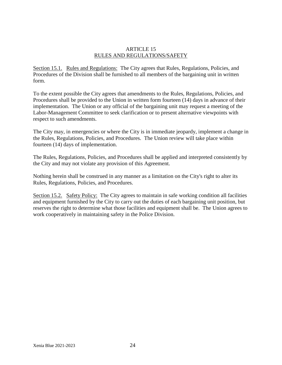#### ARTICLE 15 RULES AND REGULATIONS/SAFETY

Section 15.1. Rules and Regulations: The City agrees that Rules, Regulations, Policies, and Procedures of the Division shall be furnished to all members of the bargaining unit in written form.

To the extent possible the City agrees that amendments to the Rules, Regulations, Policies, and Procedures shall be provided to the Union in written form fourteen (14) days in advance of their implementation. The Union or any official of the bargaining unit may request a meeting of the Labor-Management Committee to seek clarification or to present alternative viewpoints with respect to such amendments.

The City may, in emergencies or where the City is in immediate jeopardy, implement a change in the Rules, Regulations, Policies, and Procedures. The Union review will take place within fourteen (14) days of implementation.

The Rules, Regulations, Policies, and Procedures shall be applied and interpreted consistently by the City and may not violate any provision of this Agreement.

Nothing herein shall be construed in any manner as a limitation on the City's right to alter its Rules, Regulations, Policies, and Procedures.

Section 15.2. Safety Policy: The City agrees to maintain in safe working condition all facilities and equipment furnished by the City to carry out the duties of each bargaining unit position, but reserves the right to determine what those facilities and equipment shall be. The Union agrees to work cooperatively in maintaining safety in the Police Division.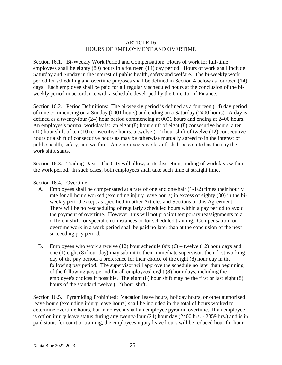#### ARTICLE 16 HOURS OF EMPLOYMENT AND OVERTIME

Section 16.1. Bi-Weekly Work Period and Compensation: Hours of work for full-time employees shall be eighty (80) hours in a fourteen (14) day period. Hours of work shall include Saturday and Sunday in the interest of public health, safety and welfare. The bi-weekly work period for scheduling and overtime purposes shall be defined in Section 4 below as fourteen (14) days. Each employee shall be paid for all regularly scheduled hours at the conclusion of the biweekly period in accordance with a schedule developed by the Director of Finance.

Section 16.2. Period Definitions: The bi-weekly period is defined as a fourteen (14) day period of time commencing on a Sunday (0001 hours) and ending on a Saturday (2400 hours). A day is defined as a twenty-four (24) hour period commencing at 0001 hours and ending at 2400 hours. An employee's normal workday is: an eight (8) hour shift of eight (8) consecutive hours, a ten (10) hour shift of ten (10) consecutive hours, a twelve (12) hour shift of twelve (12) consecutive hours or a shift of consecutive hours as may be otherwise mutually agreed to in the interest of public health, safety, and welfare. An employee's work shift shall be counted as the day the work shift starts.

Section 16.3. Trading Days: The City will allow, at its discretion, trading of workdays within the work period. In such cases, both employees shall take such time at straight time.

Section 16.4. Overtime:

- A. Employees shall be compensated at a rate of one and one-half (1-1/2) times their hourly rate for all hours worked (excluding injury leave hours) in excess of eighty (80) in the biweekly period except as specified in other Articles and Sections of this Agreement. There will be no rescheduling of regularly scheduled hours within a pay period to avoid the payment of overtime. However, this will not prohibit temporary reassignments to a different shift for special circumstances or for scheduled training. Compensation for overtime work in a work period shall be paid no later than at the conclusion of the next succeeding pay period.
- B. Employees who work a twelve  $(12)$  hour schedule (six  $(6)$  twelve  $(12)$  hour days and one (1) eight (8) hour day) may submit to their immediate supervisor, their first working day of the pay period, a preference for their choice of the eight (8) hour day in the following pay period. The supervisor will approve the schedule no later than beginning of the following pay period for all employees' eight (8) hour days, including the employee's choices if possible. The eight (8) hour shift may be the first or last eight (8) hours of the standard twelve (12) hour shift.

Section 16.5. Pyramiding Prohibited: Vacation leave hours, holiday hours, or other authorized leave hours (excluding injury leave hours) shall be included in the total of hours worked to determine overtime hours, but in no event shall an employee pyramid overtime. If an employee is off on injury leave status during any twenty-four (24) hour day (2400 hrs. - 2359 hrs.) and is in paid status for court or training, the employees injury leave hours will be reduced hour for hour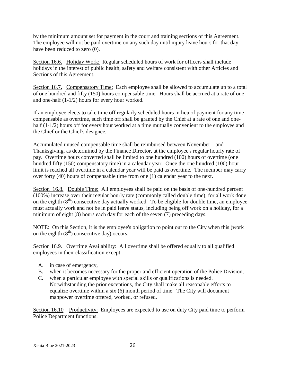by the minimum amount set for payment in the court and training sections of this Agreement. The employee will not be paid overtime on any such day until injury leave hours for that day have been reduced to zero  $(0)$ .

Section 16.6. Holiday Work: Regular scheduled hours of work for officers shall include holidays in the interest of public health, safety and welfare consistent with other Articles and Sections of this Agreement.

Section 16.7. Compensatory Time: Each employee shall be allowed to accumulate up to a total of one hundred and fifty (150) hours compensable time. Hours shall be accrued at a rate of one and one-half (1-1/2) hours for every hour worked.

If an employee elects to take time off regularly scheduled hours in lieu of payment for any time compensable as overtime, such time off shall be granted by the Chief at a rate of one and onehalf (1-1/2) hours off for every hour worked at a time mutually convenient to the employee and the Chief or the Chief's designee.

Accumulated unused compensable time shall be reimbursed between November 1 and Thanksgiving, as determined by the Finance Director, at the employee's regular hourly rate of pay. Overtime hours converted shall be limited to one hundred (100) hours of overtime (one hundred fifty (150) compensatory time) in a calendar year. Once the one hundred (100) hour limit is reached all overtime in a calendar year will be paid as overtime. The member may carry over forty (40) hours of compensable time from one (1) calendar year to the next.

Section 16.8. Double Time: All employees shall be paid on the basis of one-hundred percent (100%) increase over their regular hourly rate (commonly called double time), for all work done on the eighth  $(8<sup>th</sup>)$  consecutive day actually worked. To be eligible for double time, an employee must actually work and not be in paid leave status, including being off work on a holiday, for a minimum of eight (8) hours each day for each of the seven (7) preceding days.

NOTE: On this Section, it is the employee's obligation to point out to the City when this (work on the eighth  $(8<sup>th</sup>)$  consecutive day) occurs.

Section 16.9. Overtime Availability: All overtime shall be offered equally to all qualified employees in their classification except:

- A. in case of emergency,
- B. when it becomes necessary for the proper and efficient operation of the Police Division,
- C. when a particular employee with special skills or qualifications is needed. Notwithstanding the prior exceptions, the City shall make all reasonable efforts to equalize overtime within a six (6) month period of time. The City will document manpower overtime offered, worked, or refused.

Section 16.10 Productivity: Employees are expected to use on duty City paid time to perform Police Department functions.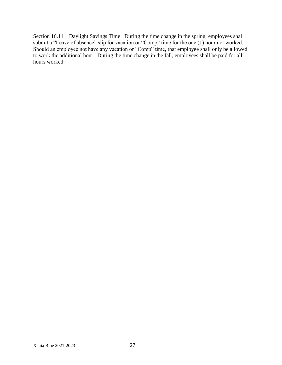Section 16.11 Daylight Savings Time During the time change in the spring, employees shall submit a "Leave of absence" slip for vacation or "Comp" time for the one (1) hour not worked. Should an employee not have any vacation or "Comp" time, that employee shall only be allowed to work the additional hour. During the time change in the fall, employees shall be paid for all hours worked.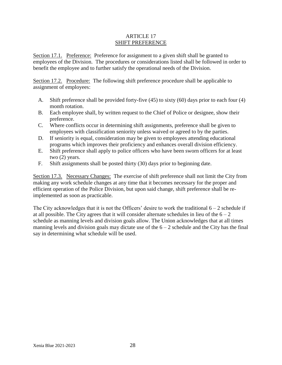#### ARTICLE 17 SHIFT PREFERENCE

Section 17.1. Preference: Preference for assignment to a given shift shall be granted to employees of the Division. The procedures or considerations listed shall be followed in order to benefit the employee and to further satisfy the operational needs of the Division.

Section 17.2. Procedure: The following shift preference procedure shall be applicable to assignment of employees:

- A. Shift preference shall be provided forty-five (45) to sixty (60) days prior to each four (4) month rotation.
- B. Each employee shall, by written request to the Chief of Police or designee, show their preference.
- C. Where conflicts occur in determining shift assignments, preference shall be given to employees with classification seniority unless waived or agreed to by the parties.
- D. If seniority is equal, consideration may be given to employees attending educational programs which improves their proficiency and enhances overall division efficiency.
- E. Shift preference shall apply to police officers who have been sworn officers for at least two (2) years.
- F. Shift assignments shall be posted thirty (30) days prior to beginning date.

Section 17.3. Necessary Changes: The exercise of shift preference shall not limit the City from making any work schedule changes at any time that it becomes necessary for the proper and efficient operation of the Police Division, but upon said change, shift preference shall be reimplemented as soon as practicable.

The City acknowledges that it is not the Officers' desire to work the traditional  $6 - 2$  schedule if at all possible. The City agrees that it will consider alternate schedules in lieu of the  $6 - 2$ schedule as manning levels and division goals allow. The Union acknowledges that at all times manning levels and division goals may dictate use of the  $6 - 2$  schedule and the City has the final say in determining what schedule will be used.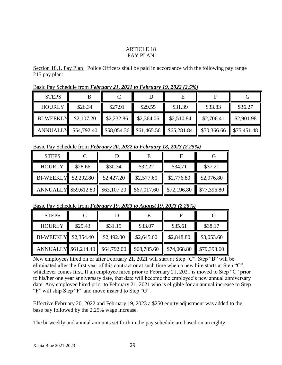#### ARTICLE 18 PAY PLAN

Section 18.1. Pay Plan Police Officers shall be paid in accordance with the following pay range 215 pay plan:

Basic Pay Schedule from *February 21, 2021 to February 19, 2022 (2.5%)*

| <b>STEPS</b>                |            |                                                                         |            |            |             |                                   |
|-----------------------------|------------|-------------------------------------------------------------------------|------------|------------|-------------|-----------------------------------|
| <b>HOURLY</b>               | \$26.34    | \$27.91                                                                 | \$29.55    | \$31.39    | \$33.83     | \$36.27                           |
| <b>BI-WEEKLY</b>            | \$2,107.20 | \$2,232.86                                                              | \$2,364.06 | \$2,510.84 | \$2,706.41  | \$2,901.98                        |
| <b>ANNUALLY</b> \$54,792.40 |            | $\parallel$ \$58,054.36 $\parallel$ \$61,465.56 $\parallel$ \$65,281.84 |            |            | \$70,366.66 | $\blacktriangleright$ \$75,451.48 |

Basic Pay Schedule from *February 20, 2022 to February 18, 2023 (2.25%)*

| <b>STEPS</b>                     |         |            |             |             |             |
|----------------------------------|---------|------------|-------------|-------------|-------------|
| <b>HOURLY</b>                    | \$28.66 | \$30.34    | \$32.22     | \$34.71     | \$37.21     |
| BI-WEEKLY \$2,292.80             |         | \$2,427.20 | \$2,577.60  | \$2,776.80  | \$2,976.80  |
| ANNUALLY \$59,612.80 \$63,107.20 |         |            | \$67,017.60 | \$72,196.80 | \$77,396.80 |

Basic Pay Schedule from *February 19, 2023 to August 19, 2023 (2.25%)*

| <b>STEPS</b>                     |         |            |             |             |                        |
|----------------------------------|---------|------------|-------------|-------------|------------------------|
| <b>HOURLY</b>                    | \$29.43 | \$31.15    | \$33.07     | \$35.61     | \$38.17                |
| BI-WEEKLY \$2,354.40             |         | \$2,492.00 | \$2,645.60  | \$2,848.80  | \$3,053.60             |
| ANNUALLY \$61,214.40 \$64,792.00 |         |            | \$68,785.60 | \$74,068.80 | $\frac{$79,393.60}{ }$ |

New employees hired on or after February 21, 2021 will start at Step "C". Step "B" will be eliminated after the first year of this contract or at such time when a new hire starts at Step "C", whichever comes first. If an employee hired prior to February 21, 2021 is moved to Step "C" prior to his/her one year anniversary date, that date will become the employee's new annual anniversary date. Any employee hired prior to February 21, 2021 who is eligible for an annual increase to Step "F" will skip Step "F" and move instead to Step "G".

Effective February 20, 2022 and February 19, 2023 a \$250 equity adjustment was added to the base pay followed by the 2.25% wage increase.

The bi-weekly and annual amounts set forth in the pay schedule are based on an eighty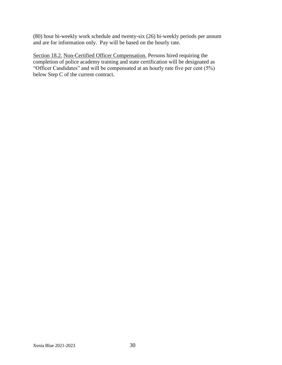(80) hour bi-weekly work schedule and twenty-six (26) bi-weekly periods per annum and are for information only. Pay will be based on the hourly rate.

Section 18.2. Non-Certified Officer Compensation. Persons hired requiring the completion of police academy training and state certification will be designated as "Officer Candidates" and will be compensated at an hourly rate five per cent (5%) below Step C of the current contract.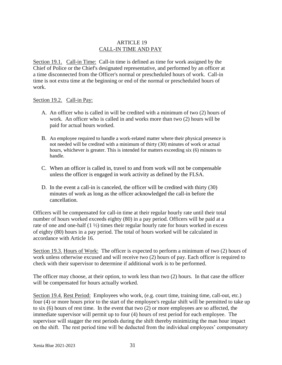#### ARTICLE 19 CALL-IN TIME AND PAY

Section 19.1. Call-in Time: Call-in time is defined as time for work assigned by the Chief of Police or the Chief's designated representative, and performed by an officer at a time disconnected from the Officer's normal or prescheduled hours of work. Call-in time is not extra time at the beginning or end of the normal or prescheduled hours of work.

#### Section 19.2. Call-in Pay:

- A. An officer who is called in will be credited with a minimum of two (2) hours of work. An officer who is called in and works more than two (2) hours will be paid for actual hours worked.
- B. An employee required to handle a work-related matter where their physical presence is not needed will be credited with a minimum of thirty (30) minutes of work or actual hours, whichever is greater. This is intended for matters exceeding six (6) minutes to handle.
- C. When an officer is called in, travel to and from work will not be compensable unless the officer is engaged in work activity as defined by the FLSA.
- D. In the event a call-in is canceled, the officer will be credited with thirty (30) minutes of work as long as the officer acknowledged the call-in before the cancellation.

Officers will be compensated for call-in time at their regular hourly rate until their total number of hours worked exceeds eighty (80) in a pay period. Officers will be paid at a rate of one and one-half  $(1 \frac{1}{2})$  times their regular hourly rate for hours worked in excess of eighty (80) hours in a pay period. The total of hours worked will be calculated in accordance with Article 16.

Section 19.3. Hours of Work: The officer is expected to perform a minimum of two (2) hours of work unless otherwise excused and will receive two (2) hours of pay. Each officer is required to check with their supervisor to determine if additional work is to be performed.

The officer may choose, at their option, to work less than two (2) hours. In that case the officer will be compensated for hours actually worked.

Section 19.4. Rest Period: Employees who work, (e.g. court time, training time, call-out, etc.) four (4) or more hours prior to the start of the employee's regular shift will be permitted to take up to six (6) hours of rest time. In the event that two (2) or more employees are so affected, the immediate supervisor will permit up to four (4) hours of rest period for each employee. The supervisor will stagger the rest periods during the shift thereby minimizing the man hour impact on the shift. The rest period time will be deducted from the individual employees' compensatory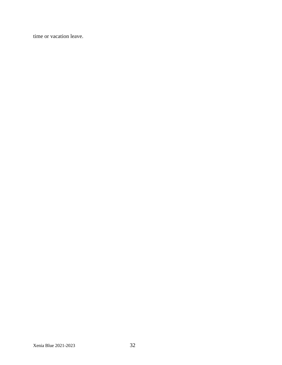time or vacation leave.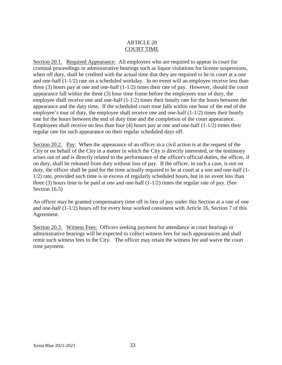#### ARTICLE 20 COURT TIME

Section 20.1. Required Appearance: All employees who are required to appear in court for criminal proceedings or administrative hearings such as liquor violations for license suspensions, when off duty, shall be credited with the actual time that they are required to be in court at a one and one-half (1-1/2) rate on a scheduled workday. In no event will an employee receive less than three (3) hours pay at one and one-half (1-1/2) times their rate of pay. However, should the court appearance fall within the three (3) hour time frame before the employees tour of duty, the employee shall receive one and one-half  $(1-1/2)$  times their hourly rate for the hours between the appearance and the duty time*.* If the scheduled court time falls within one hour of the end of the employee's tour of duty, the employee shall receive one and one-half (1-1/2) times their hourly rate for the hours between the end of duty time and the completion of the court appearance. Employees shall receive no less than four  $(4)$  hours pay at one and one-half  $(1-1/2)$  times their regular rate for such appearance on their regular scheduled days off.

Section 20.2. Pay: When the appearance of an officer in a civil action is at the request of the City or on behalf of the City in a matter in which the City is directly interested, or the testimony arises out of and is directly related to the performance of the officer's official duties, the officer, if on duty, shall be released from duty without loss of pay. If the officer, in such a case, is not on duty, the officer shall be paid for the time actually required to be at court at a one and one-half (1- 1/2) rate, provided such time is in excess of regularly scheduled hours, but in no event less than three  $(3)$  hours time to be paid at one and one-half  $(1-1/2)$  times the regular rate of pay. (See Section 16.5)

An officer may be granted compensatory time off in lieu of pay under this Section at a rate of one and one-half (1-1/2) hours off for every hour worked consistent with Article 16, Section 7 of this Agreement.

Section 20.3. Witness Fees: Officers seeking payment for attendance at court hearings or administrative hearings will be expected to collect witness fees for such appearances and shall remit such witness fees to the City. The officer may retain the witness fee and waive the court time payment.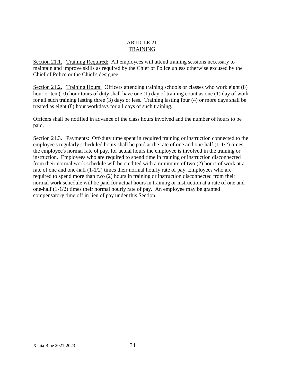#### ARTICLE 21 TRAINING

Section 21.1. Training Required: All employees will attend training sessions necessary to maintain and improve skills as required by the Chief of Police unless otherwise excused by the Chief of Police or the Chief's designee.

Section 21.2. Training Hours: Officers attending training schools or classes who work eight (8) hour or ten (10) hour tours of duty shall have one (1) day of training count as one (1) day of work for all such training lasting three (3) days or less. Training lasting four (4) or more days shall be treated as eight (8) hour workdays for all days of such training.

Officers shall be notified in advance of the class hours involved and the number of hours to be paid.

Section 21.3. Payments: Off-duty time spent in required training or instruction connected to the employee's regularly scheduled hours shall be paid at the rate of one and one-half (1-1/2) times the employee's normal rate of pay, for actual hours the employee is involved in the training or instruction. Employees who are required to spend time in training or instruction disconnected from their normal work schedule will be credited with a minimum of two (2) hours of work at a rate of one and one-half (1-1/2) times their normal hourly rate of pay. Employees who are required to spend more than two (2) hours in training or instruction disconnected from their normal work schedule will be paid for actual hours in training or instruction at a rate of one and one-half (1-1/2) times their normal hourly rate of pay. An employee may be granted compensatory time off in lieu of pay under this Section.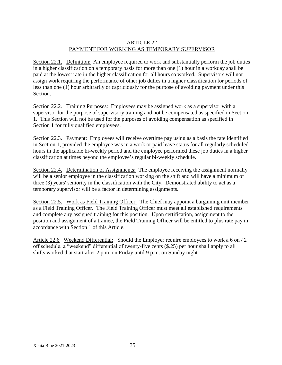#### ARTICLE 22 PAYMENT FOR WORKING AS TEMPORARY SUPERVISOR

Section 22.1. Definition: An employee required to work and substantially perform the job duties in a higher classification on a temporary basis for more than one (1) hour in a workday shall be paid at the lowest rate in the higher classification for all hours so worked. Supervisors will not assign work requiring the performance of other job duties in a higher classification for periods of less than one (1) hour arbitrarily or capriciously for the purpose of avoiding payment under this Section.

Section 22.2. Training Purposes: Employees may be assigned work as a supervisor with a supervisor for the purpose of supervisory training and not be compensated as specified in Section 1. This Section will not be used for the purposes of avoiding compensation as specified in Section 1 for fully qualified employees.

Section 22.3. Payment: Employees will receive overtime pay using as a basis the rate identified in Section 1, provided the employee was in a work or paid leave status for all regularly scheduled hours in the applicable bi-weekly period and the employee performed these job duties in a higher classification at times beyond the employee's regular bi-weekly schedule.

Section 22.4. Determination of Assignments: The employee receiving the assignment normally will be a senior employee in the classification working on the shift and will have a minimum of three (3) years' seniority in the classification with the City. Demonstrated ability to act as a temporary supervisor will be a factor in determining assignments.

Section 22.5. Work as Field Training Officer: The Chief may appoint a bargaining unit member as a Field Training Officer. The Field Training Officer must meet all established requirements and complete any assigned training for this position. Upon certification, assignment to the position and assignment of a trainee, the Field Training Officer will be entitled to plus rate pay in accordance with Section 1 of this Article.

Article 22.6 Weekend Differential: Should the Employer require employees to work a 6 on / 2 off schedule, a "weekend" differential of twenty-five cents (\$.25) per hour shall apply to all shifts worked that start after 2 p.m. on Friday until 9 p.m. on Sunday night.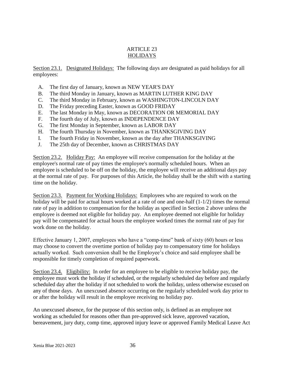#### ARTICLE 23 HOLIDAYS

Section 23.1. Designated Holidays: The following days are designated as paid holidays for all employees:

- A. The first day of January, known as NEW YEAR'S DAY
- B. The third Monday in January, known as MARTIN LUTHER KING DAY
- C. The third Monday in February, known as WASHINGTON-LINCOLN DAY
- D. The Friday preceding Easter, known as GOOD FRIDAY
- E. The last Monday in May, known as DECORATION OR MEMORIAL DAY
- F. The fourth day of July, known as INDEPENDENCE DAY
- G. The first Monday in September, known as LABOR DAY
- H. The fourth Thursday in November, known as THANKSGIVING DAY
- I. The fourth Friday in November, known as the day after THANKSGIVING
- J. The 25th day of December, known as CHRISTMAS DAY

Section 23.2. Holiday Pay: An employee will receive compensation for the holiday at the employee's normal rate of pay times the employee's normally scheduled hours. When an employee is scheduled to be off on the holiday, the employee will receive an additional days pay at the normal rate of pay. For purposes of this Article, the holiday shall be the shift with a starting time on the holiday.

Section 23.3. Payment for Working Holidays: Employees who are required to work on the holiday will be paid for actual hours worked at a rate of one and one-half  $(1-1/2)$  times the normal rate of pay in addition to compensation for the holiday as specified in Section 2 above unless the employee is deemed not eligible for holiday pay. An employee deemed not eligible for holiday pay will be compensated for actual hours the employee worked times the normal rate of pay for work done on the holiday.

Effective January 1, 2007, employees who have a "comp-time" bank of sixty (60) hours or less may choose to convert the overtime portion of holiday pay to compensatory time for holidays actually worked. Such conversion shall be the Employee's choice and said employee shall be responsible for timely completion of required paperwork.

Section 23.4. Eligibility: In order for an employee to be eligible to receive holiday pay, the employee must work the holiday if scheduled, or the regularly scheduled day before and regularly scheduled day after the holiday if not scheduled to work the holiday, unless otherwise excused on any of those days. An unexcused absence occurring on the regularly scheduled work day prior to or after the holiday will result in the employee receiving no holiday pay.

An unexcused absence, for the purpose of this section only, is defined as an employee not working as scheduled for reasons other than pre-approved sick leave, approved vacation, bereavement, jury duty, comp time, approved injury leave or approved Family Medical Leave Act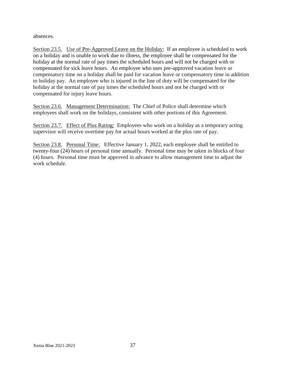absences.

Section 23.5. Use of Pre-Approved Leave on the Holiday: If an employee is scheduled to work on a holiday and is unable to work due to illness, the employee shall be compensated for the holiday at the normal rate of pay times the scheduled hours and will not be charged with or compensated for sick leave hours. An employee who uses pre-approved vacation leave or compensatory time on a holiday shall be paid for vacation leave or compensatory time in addition to holiday pay. An employee who is injured in the line of duty will be compensated for the holiday at the normal rate of pay times the scheduled hours and not be charged with or compensated for injury leave hours.

Section 23.6. Management Determination: The Chief of Police shall determine which employees shall work on the holidays, consistent with other portions of this Agreement.

Section 23.7. Effect of Plus Rating: Employees who work on a holiday as a temporary acting supervisor will receive overtime pay for actual hours worked at the plus rate of pay.

Section 23.8. Personal Time: Effective January 1, 2022, each employee shall be entitled to twenty-four (24) hours of personal time annually. Personal time may be taken in blocks of four (4) hours. Personal time must be approved in advance to allow management time to adjust the work schedule.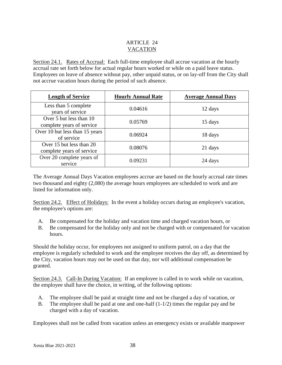#### ARTICLE 24 VACATION

Section 24.1. Rates of Accrual: Each full-time employee shall accrue vacation at the hourly accrual rate set forth below for actual regular hours worked or while on a paid leave status. Employees on leave of absence without pay, other unpaid status, or on lay-off from the City shall not accrue vacation hours during the period of such absence.

| <b>Length of Service</b>                              | <b>Hourly Annual Rate</b> | <b>Average Annual Days</b> |
|-------------------------------------------------------|---------------------------|----------------------------|
| Less than 5 complete<br>years of service              | 0.04616                   | 12 days                    |
| Over 5 but less than 10<br>complete years of service  | 0.05769                   | 15 days                    |
| Over 10 but less than 15 years<br>of service          | 0.06924                   | 18 days                    |
| Over 15 but less than 20<br>complete years of service | 0.08076                   | 21 days                    |
| Over 20 complete years of<br>service                  | 0.09231                   | 24 days                    |

The Average Annual Days Vacation employees accrue are based on the hourly accrual rate times two thousand and eighty (2,080) the average hours employees are scheduled to work and are listed for information only.

Section 24.2. Effect of Holidays: In the event a holiday occurs during an employee's vacation, the employee's options are:

- A. Be compensated for the holiday and vacation time and charged vacation hours, or
- B. Be compensated for the holiday only and not be charged with or compensated for vacation hours.

Should the holiday occur, for employees not assigned to uniform patrol, on a day that the employee is regularly scheduled to work and the employee receives the day off, as determined by the City, vacation hours may not be used on that day, nor will additional compensation be granted.

Section 24.3. Call-In During Vacation: If an employee is called in to work while on vacation, the employee shall have the choice, in writing, of the following options:

- A. The employee shall be paid at straight time and not be charged a day of vacation, or
- B. The employee shall be paid at one and one-half (1-1/2) times the regular pay and be charged with a day of vacation.

Employees shall not be called from vacation unless an emergency exists or available manpower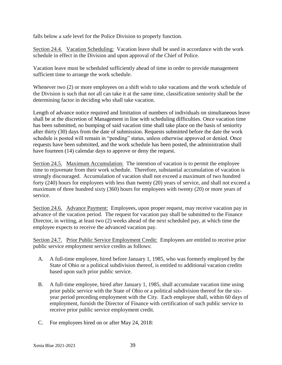falls below a safe level for the Police Division to properly function.

Section 24.4. Vacation Scheduling: Vacation leave shall be used in accordance with the work schedule in effect in the Division and upon approval of the Chief of Police.

Vacation leave must be scheduled sufficiently ahead of time in order to provide management sufficient time to arrange the work schedule.

Whenever two (2) or more employees on a shift wish to take vacations and the work schedule of the Division is such that not all can take it at the same time, classification seniority shall be the determining factor in deciding who shall take vacation.

Length of advance notice required and limitation of numbers of individuals on simultaneous leave shall be at the discretion of Management in line with scheduling difficulties. Once vacation time has been submitted, no bumping of said vacation time shall take place on the basis of seniority after thirty (30) days from the date of submission. Requests submitted before the date the work schedule is posted will remain in "pending" status, unless otherwise approved or denied. Once requests have been submitted, and the work schedule has been posted, the administration shall have fourteen (14) calendar days to approve or deny the request.

Section 24.5. Maximum Accumulation: The intention of vacation is to permit the employee time to rejuvenate from their work schedule. Therefore, substantial accumulation of vacation is strongly discouraged. Accumulation of vacation shall not exceed a maximum of two hundred forty (240) hours for employees with less than twenty (20) years of service, and shall not exceed a maximum of three hundred sixty (360) hours for employees with twenty (20) or more years of service.

Section 24.6. Advance Payment: Employees, upon proper request, may receive vacation pay in advance of the vacation period. The request for vacation pay shall be submitted to the Finance Director, in writing, at least two (2) weeks ahead of the next scheduled pay, at which time the employee expects to receive the advanced vacation pay.

Section 24.7. Prior Public Service Employment Credit: Employees are entitled to receive prior public service employment service credits as follows:

- A. A full-time employee, hired before January 1, 1985, who was formerly employed by the State of Ohio or a political subdivision thereof, is entitled to additional vacation credits based upon such prior public service.
- B. A full-time employee, hired after January 1, 1985, shall accumulate vacation time using prior public service with the State of Ohio or a political subdivision thereof for the sixyear period preceding employment with the City. Each employee shall, within 60 days of employment, furnish the Director of Finance with certification of such public service to receive prior public service employment credit.
- C. For employees hired on or after May 24, 2018: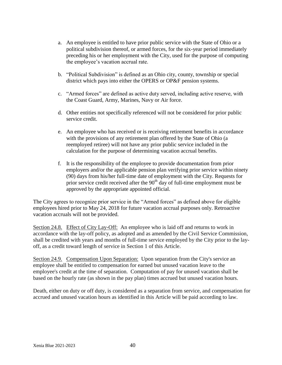- a. An employee is entitled to have prior public service with the State of Ohio or a political subdivision thereof, or armed forces, for the six-year period immediately preceding his or her employment with the City, used for the purpose of computing the employee's vacation accrual rate.
- b. "Political Subdivision" is defined as an Ohio city, county, township or special district which pays into either the OPERS or OP&F pension systems.
- c. "Armed forces" are defined as active duty served, including active reserve, with the Coast Guard, Army, Marines, Navy or Air force.
- d. Other entities not specifically referenced will not be considered for prior public service credit.
- e. An employee who has received or is receiving retirement benefits in accordance with the provisions of any retirement plan offered by the State of Ohio (a reemployed retiree) will not have any prior public service included in the calculation for the purpose of determining vacation accrual benefits.
- f. It is the responsibility of the employee to provide documentation from prior employers and/or the applicable pension plan verifying prior service within ninety (90) days from his/her full-time date of employment with the City. Requests for prior service credit received after the  $90<sup>th</sup>$  day of full-time employment must be approved by the appropriate appointed official.

The City agrees to recognize prior service in the "Armed forces" as defined above for eligible employees hired prior to May 24, 2018 for future vacation accrual purposes only. Retroactive vacation accruals will not be provided.

Section 24.8. Effect of City Lay-Off: An employee who is laid off and returns to work in accordance with the lay-off policy, as adopted and as amended by the Civil Service Commission, shall be credited with years and months of full-time service employed by the City prior to the layoff, as a credit toward length of service in Section 1 of this Article.

Section 24.9. Compensation Upon Separation: Upon separation from the City's service an employee shall be entitled to compensation for earned but unused vacation leave to the employee's credit at the time of separation. Computation of pay for unused vacation shall be based on the hourly rate (as shown in the pay plan) times accrued but unused vacation hours.

Death, either on duty or off duty, is considered as a separation from service, and compensation for accrued and unused vacation hours as identified in this Article will be paid according to law.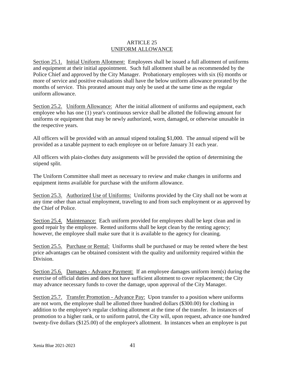#### ARTICLE 25 UNIFORM ALLOWANCE

Section 25.1. Initial Uniform Allotment: Employees shall be issued a full allotment of uniforms and equipment at their initial appointment. Such full allotment shall be as recommended by the Police Chief and approved by the City Manager. Probationary employees with six (6) months or more of service and positive evaluations shall have the below uniform allowance prorated by the months of service. This prorated amount may only be used at the same time as the regular uniform allowance.

Section 25.2. Uniform Allowance: After the initial allotment of uniforms and equipment, each employee who has one (1) year's continuous service shall be allotted the following amount for uniforms or equipment that may be newly authorized, worn, damaged, or otherwise unusable in the respective years.

All officers will be provided with an annual stipend totaling \$1,000. The annual stipend will be provided as a taxable payment to each employee on or before January 31 each year.

All officers with plain-clothes duty assignments will be provided the option of determining the stipend split.

The Uniform Committee shall meet as necessary to review and make changes in uniforms and equipment items available for purchase with the uniform allowance.

Section 25.3. Authorized Use of Uniforms: Uniforms provided by the City shall not be worn at any time other than actual employment, traveling to and from such employment or as approved by the Chief of Police.

Section 25.4. Maintenance: Each uniform provided for employees shall be kept clean and in good repair by the employee. Rented uniforms shall be kept clean by the renting agency; however, the employee shall make sure that it is available to the agency for cleaning.

Section 25.5. Purchase or Rental: Uniforms shall be purchased or may be rented where the best price advantages can be obtained consistent with the quality and uniformity required within the Division.

Section 25.6. Damages - Advance Payment: If an employee damages uniform item(s) during the exercise of official duties and does not have sufficient allotment to cover replacement; the City may advance necessary funds to cover the damage, upon approval of the City Manager.

Section 25.7. Transfer Promotion - Advance Pay: Upon transfer to a position where uniforms are not worn, the employee shall be allotted three hundred dollars (\$300.00) for clothing in addition to the employee's regular clothing allotment at the time of the transfer. In instances of promotion to a higher rank, or to uniform patrol, the City will, upon request, advance one hundred twenty-five dollars (\$125.00) of the employee's allotment. In instances when an employee is put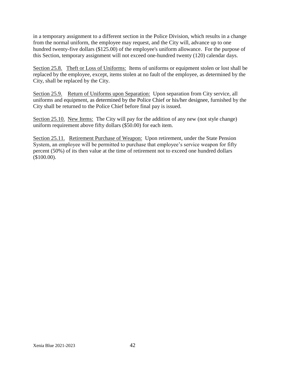in a temporary assignment to a different section in the Police Division, which results in a change from the normal uniform, the employee may request, and the City will, advance up to one hundred twenty-five dollars (\$125.00) of the employee's uniform allowance. For the purpose of this Section, temporary assignment will not exceed one-hundred twenty (120) calendar days.

Section 25.8. Theft or Loss of Uniforms: Items of uniforms or equipment stolen or lost shall be replaced by the employee, except, items stolen at no fault of the employee, as determined by the City, shall be replaced by the City.

Section 25.9. Return of Uniforms upon Separation: Upon separation from City service, all uniforms and equipment, as determined by the Police Chief or his/her designee, furnished by the City shall be returned to the Police Chief before final pay is issued.

Section 25.10. New Items: The City will pay for the addition of any new (not style change) uniform requirement above fifty dollars (\$50.00) for each item.

Section 25.11. Retirement Purchase of Weapon: Upon retirement, under the State Pension System, an employee will be permitted to purchase that employee's service weapon for fifty percent (50%) of its then value at the time of retirement not to exceed one hundred dollars (\$100.00).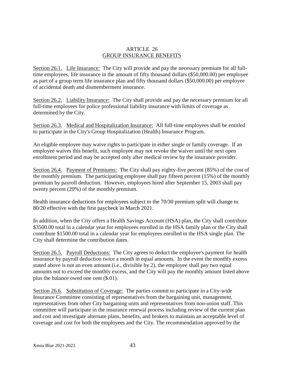#### ARTICLE 26 GROUP INSURANCE BENEFITS

Section 26.1. Life Insurance: The City will provide and pay the necessary premium for all fulltime employees, life insurance in the amount of fifty thousand dollars (\$50,000.00) per employee as part of a group term life insurance plan and fifty thousand dollars (\$50,000.00) per employee of accidental death and dismemberment insurance.

Section 26.2. Liability Insurance: The City shall provide and pay the necessary premium for all full-time employees for police professional liability insurance with limits of coverage as determined by the City.

Section 26.3. Medical and Hospitalization Insurance: All full-time employees shall be entitled to participate in the City's Group Hospitalization (Health) Insurance Program.

An eligible employee may waive rights to participate in either single or family coverage. If an employee waives this benefit, such employee may not revoke the waiver until the next open enrollment period and may be accepted only after medical review by the insurance provider.

Section 26.4. Payment of Premiums: The City shall pay eighty-five percent (85%) of the cost of the monthly premium. The participating employee shall pay fifteen percent (15%) of the monthly premium by payroll deduction. However, employees hired after September 15, 2003 shall pay twenty percent (20%) of the monthly premium.

Health insurance deductions for employees subject to the 70/30 premium split will change to 80/20 effective with the first paycheck in March 2021.

In addition, when the City offers a Health Savings Account (HSA) plan, the City shall contribute \$3500.00 total in a calendar year for employees enrolled in the HSA family plan or the City shall contribute \$1500.00 total in a calendar year for employees enrolled in the HSA single plan. The City shall determine the contribution dates.

Section 26.5. Payroll Deductions: The City agrees to deduct the employee's payment for health insurance by payroll deduction twice a month in equal amounts. In the event the monthly excess stated above is not an even amount (i.e., divisible by 2), the employee shall pay two equal amounts not to exceed the monthly excess, and the City will pay the monthly amount listed above plus the balance owed one cent (\$.01).

Section 26.6. Substitution of Coverage: The parties commit to participate in a City-wide Insurance Committee consisting of representatives from the bargaining unit, management, representatives from other City bargaining units and representatives from non-union staff. This committee will participate in the insurance renewal process including review of the current plan and cost and investigate alternate plans, benefits, and brokers to maintain an acceptable level of coverage and cost for both the employees and the City. The recommendation approved by the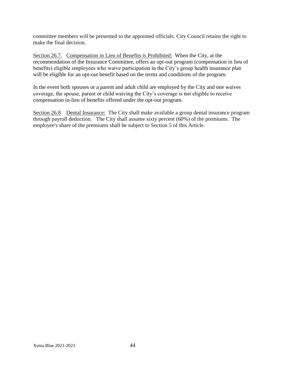committee members will be presented to the appointed officials. City Council retains the right to make the final decision.

Section 26.7. Compensation in Lieu of Benefits is Prohibited: When the City, at the recommendation of the Insurance Committee, offers an opt-out program (compensation in lieu of benefits) eligible employees who waive participation in the City's group health insurance plan will be eligible for an opt-out benefit based on the terms and conditions of the program.

In the event both spouses or a parent and adult child are employed by the City and one waives coverage, the spouse, parent or child waiving the City's coverage is not eligible to receive compensation in-lieu of benefits offered under the opt-out program.

Section 26.8 Dental Insurance: The City shall make available a group dental insurance program through payroll deduction. The City shall assume sixty percent (60%) of the premiums. The employee's share of the premiums shall be subject to Section 5 of this Article.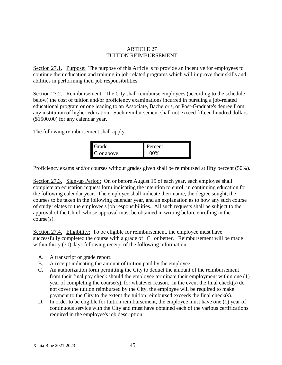#### ARTICLE 27 TUITION REIMBURSEMENT

Section 27.1. Purpose: The purpose of this Article is to provide an incentive for employees to continue their education and training in job-related programs which will improve their skills and abilities in performing their job responsibilities.

Section 27.2. Reimbursement: The City shall reimburse employees (according to the schedule below) the cost of tuition and/or proficiency examinations incurred in pursuing a job-related educational program or one leading to an Associate, Bachelor's, or Post-Graduate's degree from any institution of higher education. Such reimbursement shall not exceed fifteen hundred dollars (\$1500.00) for any calendar year.

The following reimbursement shall apply:

| Grade.          | Percent |
|-----------------|---------|
| V<br>C or above | $10\%$  |

Proficiency exams and/or courses without grades given shall be reimbursed at fifty percent (50%).

Section 27.3. Sign-up Period: On or before August 15 of each year, each employee shall complete an education request form indicating the intention to enroll in continuing education for the following calendar year. The employee shall indicate their name, the degree sought, the courses to be taken in the following calendar year, and an explanation as to how any such course of study relates to the employee's job responsibilities. All such requests shall be subject to the approval of the Chief, whose approval must be obtained in writing before enrolling in the course(s).

Section 27.4. Eligibility: To be eligible for reimbursement, the employee must have successfully completed the course with a grade of "C" or better. Reimbursement will be made within thirty (30) days following receipt of the following information:

- A. A transcript or grade report.
- B. A receipt indicating the amount of tuition paid by the employee.
- C. An authorization form permitting the City to deduct the amount of the reimbursement from their final pay check should the employee terminate their employment within one (1) year of completing the course(s), for whatever reason. In the event the final check(s) do not cover the tuition reimbursed by the City, the employee will be required to make payment to the City to the extent the tuition reimbursed exceeds the final check(s).
- D. In order to be eligible for tuition reimbursement, the employee must have one (1) year of continuous service with the City and must have obtained each of the various certifications required in the employee's job description.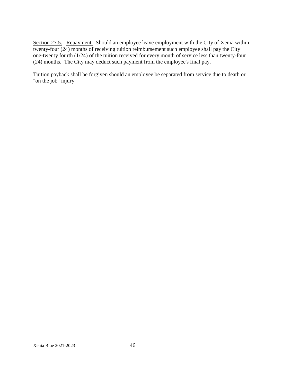Section 27.5. Repayment: Should an employee leave employment with the City of Xenia within twenty-four (24) months of receiving tuition reimbursement such employee shall pay the City one-twenty fourth (1/24) of the tuition received for every month of service less than twenty-four (24) months. The City may deduct such payment from the employee's final pay.

Tuition payback shall be forgiven should an employee be separated from service due to death or "on the job" injury.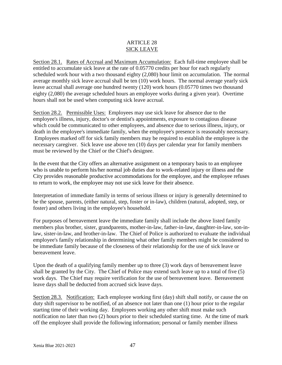#### ARTICLE 28 SICK LEAVE

Section 28.1. Rates of Accrual and Maximum Accumulation: Each full-time employee shall be entitled to accumulate sick leave at the rate of 0.05770 credits per hour for each regularly scheduled work hour with a two thousand eighty (2,080) hour limit on accumulation. The normal average monthly sick leave accrual shall be ten (10) work hours. The normal average yearly sick leave accrual shall average one hundred twenty (120) work hours (0.05770 times two thousand eighty (2,080) the average scheduled hours an employee works during a given year). Overtime hours shall not be used when computing sick leave accrual.

Section 28.2. Permissible Uses: Employees may use sick leave for absence due to the employee's illness, injury, doctor's or dentist's appointments, exposure to contagious disease which could be communicated to other employees, and absence due to serious illness, injury, or death in the employee's immediate family, when the employee's presence is reasonably necessary. Employees marked off for sick family members may be required to establish the employee is the necessary caregiver. Sick leave use above ten (10) days per calendar year for family members must be reviewed by the Chief or the Chief's designee.

In the event that the City offers an alternative assignment on a temporary basis to an employee who is unable to perform his/her normal job duties due to work-related injury or illness and the City provides reasonable productive accommodations for the employee, and the employee refuses to return to work, the employee may not use sick leave for their absence.

Interpretation of immediate family in terms of serious illness or injury is generally determined to be the spouse, parents, (either natural, step, foster or in-law), children (natural, adopted, step, or foster) and others living in the employee's household.

For purposes of bereavement leave the immediate family shall include the above listed family members plus brother, sister, grandparents, mother-in-law, father-in-law, daughter-in-law, son-inlaw, sister-in-law, and brother-in-law. The Chief of Police is authorized to evaluate the individual employee's family relationship in determining what other family members might be considered to be immediate family because of the closeness of their relationship for the use of sick leave or bereavement leave.

Upon the death of a qualifying family member up to three (3) work days of bereavement leave shall be granted by the City. The Chief of Police may extend such leave up to a total of five (5) work days. The Chief may require verification for the use of bereavement leave. Bereavement leave days shall be deducted from accrued sick leave days.

Section 28.3. Notification: Each employee working first (day) shift shall notify, or cause the on duty shift supervisor to be notified, of an absence not later than one (1) hour prior to the regular starting time of their working day. Employees working any other shift must make such notification no later than two (2) hours prior to their scheduled starting time. At the time of mark off the employee shall provide the following information; personal or family member illness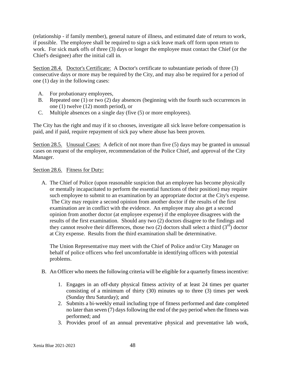(relationship - if family member), general nature of illness, and estimated date of return to work, if possible. The employee shall be required to sign a sick leave mark off form upon return to work. For sick mark offs of three (3) days or longer the employee must contact the Chief (or the Chief's designee) after the initial call in.

Section 28.4. Doctor's Certificate: A Doctor's certificate to substantiate periods of three (3) consecutive days or more may be required by the City, and may also be required for a period of one (1) day in the following cases:

- A. For probationary employees,
- B. Repeated one (1) or two (2) day absences (beginning with the fourth such occurrences in one (1) twelve (12) month period), or
- C. Multiple absences on a single day (five (5) or more employees).

The City has the right and may if it so chooses, investigate all sick leave before compensation is paid, and if paid, require repayment of sick pay where abuse has been proven.

Section 28.5. Unusual Cases: A deficit of not more than five (5) days may be granted in unusual cases on request of the employee, recommendation of the Police Chief, and approval of the City Manager.

#### Section 28.6. Fitness for Duty:

A. The Chief of Police (upon reasonable suspicion that an employee has become physically or mentally incapacitated to perform the essential functions of their position) may require such employee to submit to an examination by an appropriate doctor at the City's expense. The City may require a second opinion from another doctor if the results of the first examination are in conflict with the evidence. An employee may also get a second opinion from another doctor (at employee expense) if the employee disagrees with the results of the first examination. Should any two (2) doctors disagree to the findings and they cannot resolve their differences, those two (2) doctors shall select a third  $(3<sup>rd</sup>)$  doctor at City expense. Results from the third examination shall be determinative.

The Union Representative may meet with the Chief of Police and/or City Manager on behalf of police officers who feel uncomfortable in identifying officers with potential problems.

- B. An Officer who meets the following criteria will be eligible for a quarterly fitness incentive:
	- 1. Engages in an off-duty physical fitness activity of at least 24 times per quarter consisting of a minimum of thirty (30) minutes up to three (3) times per week (Sunday thru Saturday); and
	- 2. Submits a bi-weekly email including type of fitness performed and date completed no later than seven (7) days following the end of the pay period when the fitness was performed; and
	- 3. Provides proof of an annual preventative physical and preventative lab work,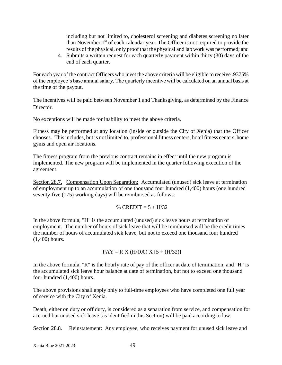including but not limited to, cholesterol screening and diabetes screening no later than November  $1<sup>st</sup>$  of each calendar year. The Officer is not required to provide the results of the physical, only proof that the physical and lab work was performed; and

4. Submits a written request for each quarterly payment within thirty (30) days of the end of each quarter.

For each year of the contract Officers who meet the above criteria will be eligible to receive .9375% of the employee's base annual salary. The quarterly incentive will be calculated on an annual basis at the time of the payout.

The incentives will be paid between November 1 and Thanksgiving, as determined by the Finance Director.

No exceptions will be made for inability to meet the above criteria.

Fitness may be performed at any location (inside or outside the City of Xenia) that the Officer chooses. This includes, but is not limited to, professional fitness centers, hotel fitness centers, home gyms and open air locations.

The fitness program from the previous contract remains in effect until the new program is implemented. The new program will be implemented in the quarter following execution of the agreement.

Section 28.7. Compensation Upon Separation: Accumulated (unused) sick leave at termination of employment up to an accumulation of one thousand four hundred (1,400) hours (one hundred seventy-five (175) working days) will be reimbursed as follows:

% CREDIT =  $5 + H/32$ 

In the above formula, "H" is the accumulated (unused) sick leave hours at termination of employment. The number of hours of sick leave that will be reimbursed will be the credit times the number of hours of accumulated sick leave, but not to exceed one thousand four hundred (1,400) hours.

$$
PAY = R X (H/100) X [5 + (H/32)]
$$

In the above formula, "R" is the hourly rate of pay of the officer at date of termination, and "H" is the accumulated sick leave hour balance at date of termination, but not to exceed one thousand four hundred (1,400) hours.

The above provisions shall apply only to full-time employees who have completed one full year of service with the City of Xenia.

Death, either on duty or off duty, is considered as a separation from service, and compensation for accrued but unused sick leave (as identified in this Section) will be paid according to law.

Section 28.8. Reinstatement: Any employee, who receives payment for unused sick leave and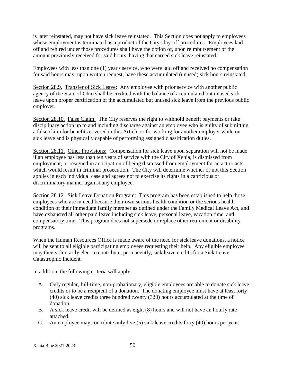is later reinstated, may not have sick leave reinstated. This Section does not apply to employees whose employment is terminated as a product of the City's lay-off procedures. Employees laid off and rehired under those procedures shall have the option of, upon reimbursement of the amount previously received for said hours, having that earned sick leave reinstated.

Employees with less than one (1) year's service, who were laid off and received no compensation for said hours may, upon written request, have these accumulated (unused) sick hours reinstated.

Section 28.9. Transfer of Sick Leave: Any employee with prior service with another public agency of the State of Ohio shall be credited with the balance of accumulated but unused sick leave upon proper certification of the accumulated but unused sick leave from the previous public employer.

Section 28.10. False Claim: The City reserves the right to withhold benefit payments or take disciplinary action up to and including discharge against an employee who is guilty of submitting a false claim for benefits covered in this Article or for working for another employer while on sick leave and is physically capable of performing assigned classification duties.

Section 28.11. Other Provisions: Compensation for sick leave upon separation will not be made if an employee has less than ten years of service with the City of Xenia, is dismissed from employment, or resigned in anticipation of being dismissed from employment for an act or acts which would result in criminal prosecution. The City will determine whether or not this Section applies in each individual case and agrees not to exercise its rights in a capricious or discriminatory manner against any employee.

Section 28.12. Sick Leave Donation Program: This program has been established to help those employees who are in need because their own serious health condition or the serious health condition of their immediate family member as defined under the Family Medical Leave Act, and have exhausted all other paid leave including sick leave, personal leave, vacation time, and compensatory time. This program does not supersede or replace other retirement or disability programs.

When the Human Resources Office is made aware of the need for sick leave donations, a notice will be sent to all eligible participating employees requesting their help. Any eligible employee may then voluntarily elect to contribute, permanently, sick leave credits for a Sick Leave Catastrophic Incident.

In addition, the following criteria will apply:

- A. Only regular, full-time, non-probationary, eligible employees are able to donate sick leave credits or to be a recipient of a donation. The donating employee must have at least forty (40) sick leave credits three hundred twenty (320) hours accumulated at the time of donation.
- B. A sick leave credit will be defined as eight (8) hours and will not have an hourly rate attached.
- C. An employee may contribute only five (5) sick leave credits forty (40) hours per year.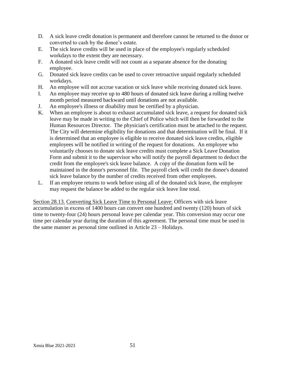- D. A sick leave credit donation is permanent and therefore cannot be returned to the donor or converted to cash by the donee's estate.
- E. The sick leave credits will be used in place of the employee's regularly scheduled workdays to the extent they are necessary.
- F. A donated sick leave credit will not count as a separate absence for the donating employee.
- G. Donated sick leave credits can be used to cover retroactive unpaid regularly scheduled workdays.
- H. An employee will not accrue vacation or sick leave while receiving donated sick leave.
- I. An employee may receive up to 480 hours of donated sick leave during a rolling twelve month period measured backward until donations are not available.
- J. An employee's illness or disability must be certified by a physician.
- K. When an employee is about to exhaust accumulated sick leave, a request for donated sick leave may be made in writing to the Chief of Police which will then be forwarded to the Human Resources Director. The physician's certification must be attached to the request. The City will determine eligibility for donations and that determination will be final. If it is determined that an employee is eligible to receive donated sick leave credits, eligible employees will be notified in writing of the request for donations. An employee who voluntarily chooses to donate sick leave credits must complete a Sick Leave Donation Form and submit it to the supervisor who will notify the payroll department to deduct the credit from the employee's sick leave balance. A copy of the donation form will be maintained in the donor's personnel file. The payroll clerk will credit the donee's donated sick leave balance by the number of credits received from other employees.
- L. If an employee returns to work before using all of the donated sick leave, the employee may request the balance be added to the regular sick leave line total.

Section 28.13. Converting Sick Leave Time to Personal Leave: Officers with sick leave accumulation in excess of 1400 hours can convert one hundred and twenty (120) hours of sick time to twenty-four (24) hours personal leave per calendar year. This conversion may occur one time per calendar year during the duration of this agreement. The personal time must be used in the same manner as personal time outlined in Article 23 – Holidays.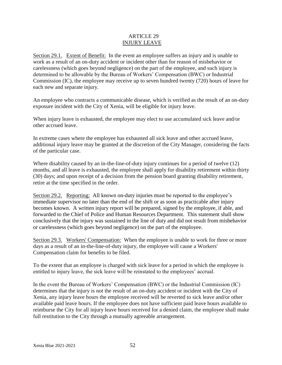#### ARTICLE 29 INJURY LEAVE

Section 29.1. Extent of Benefit: In the event an employee suffers an injury and is unable to work as a result of an on-duty accident or incident other than for reason of misbehavior or carelessness (which goes beyond negligence) on the part of the employee, and such injury is determined to be allowable by the Bureau of Workers' Compensation (BWC) or Industrial Commission (IC), the employee may receive up to seven hundred twenty (720) hours of leave for each new and separate injury.

An employee who contracts a communicable disease, which is verified as the result of an on-duty exposure incident with the City of Xenia, will be eligible for injury leave.

When injury leave is exhausted, the employee may elect to use accumulated sick leave and/or other accrued leave.

In extreme cases where the employee has exhausted all sick leave and other accrued leave, additional injury leave may be granted at the discretion of the City Manager, considering the facts of the particular case.

Where disability caused by an in-the-line-of-duty injury continues for a period of twelve (12) months, and all leave is exhausted, the employee shall apply for disability retirement within thirty (30) days; and upon receipt of a decision from the pension board granting disability retirement, retire at the time specified in the order.

Section 29.2. Reporting: All known on-duty injuries must be reported to the employee's immediate supervisor no later than the end of the shift or as soon as practicable after injury becomes known. A written injury report will be prepared, signed by the employee, if able, and forwarded to the Chief of Police and Human Resources Department. This statement shall show conclusively that the injury was sustained in the line of duty and did not result from misbehavior or carelessness (which goes beyond negligence) on the part of the employee.

Section 29.3. Workers' Compensation: When the employee is unable to work for three or more days as a result of an in-the-line-of-duty injury, the employee will cause a Workers' Compensation claim for benefits to be filed.

To the extent that an employee is charged with sick leave for a period in which the employee is entitled to injury leave, the sick leave will be reinstated to the employees' accrual.

In the event the Bureau of Workers' Compensation (BWC) or the Industrial Commission (IC) determines that the injury is not the result of an on-duty accident or incident with the City of Xenia, any injury leave hours the employee received will be reverted to sick leave and/or other available paid leave hours. If the employee does not have sufficient paid leave hours available to reimburse the City for all injury leave hours received for a denied claim, the employee shall make full restitution to the City through a mutually agreeable arrangement.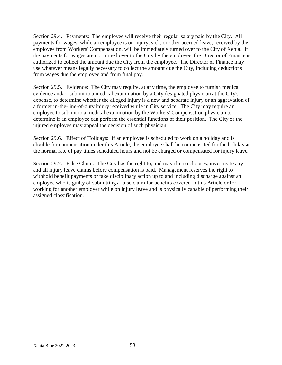Section 29.4. Payments: The employee will receive their regular salary paid by the City. All payments for wages, while an employee is on injury, sick, or other accrued leave, received by the employee from Workers' Compensation, will be immediately turned over to the City of Xenia. If the payments for wages are not turned over to the City by the employee, the Director of Finance is authorized to collect the amount due the City from the employee. The Director of Finance may use whatever means legally necessary to collect the amount due the City, including deductions from wages due the employee and from final pay.

Section 29.5. Evidence: The City may require, at any time, the employee to furnish medical evidence and/or submit to a medical examination by a City designated physician at the City's expense, to determine whether the alleged injury is a new and separate injury or an aggravation of a former in-the-line-of-duty injury received while in City service. The City may require an employee to submit to a medical examination by the Workers' Compensation physician to determine if an employee can perform the essential functions of their position. The City or the injured employee may appeal the decision of such physician.

Section 29.6. Effect of Holidays: If an employee is scheduled to work on a holiday and is eligible for compensation under this Article, the employee shall be compensated for the holiday at the normal rate of pay times scheduled hours and not be charged or compensated for injury leave.

Section 29.7. False Claim: The City has the right to, and may if it so chooses, investigate any and all injury leave claims before compensation is paid. Management reserves the right to withhold benefit payments or take disciplinary action up to and including discharge against an employee who is guilty of submitting a false claim for benefits covered in this Article or for working for another employer while on injury leave and is physically capable of performing their assigned classification.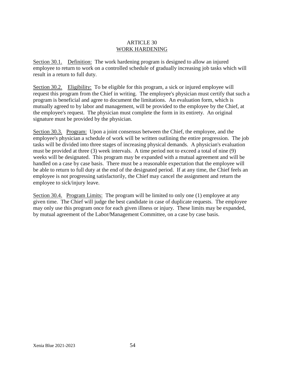#### ARTICLE 30 WORK HARDENING

Section 30.1. Definition: The work hardening program is designed to allow an injured employee to return to work on a controlled schedule of gradually increasing job tasks which will result in a return to full duty.

Section 30.2. Eligibility: To be eligible for this program, a sick or injured employee will request this program from the Chief in writing. The employee's physician must certify that such a program is beneficial and agree to document the limitations. An evaluation form, which is mutually agreed to by labor and management, will be provided to the employee by the Chief, at the employee's request. The physician must complete the form in its entirety. An original signature must be provided by the physician.

Section 30.3. Program: Upon a joint consensus between the Chief, the employee, and the employee's physician a schedule of work will be written outlining the entire progression. The job tasks will be divided into three stages of increasing physical demands. A physician's evaluation must be provided at three (3) week intervals. A time period not to exceed a total of nine (9) weeks will be designated. This program may be expanded with a mutual agreement and will be handled on a case by case basis. There must be a reasonable expectation that the employee will be able to return to full duty at the end of the designated period. If at any time, the Chief feels an employee is not progressing satisfactorily, the Chief may cancel the assignment and return the employee to sick/injury leave.

Section 30.4. Program Limits: The program will be limited to only one (1) employee at any given time. The Chief will judge the best candidate in case of duplicate requests. The employee may only use this program once for each given illness or injury. These limits may be expanded, by mutual agreement of the Labor/Management Committee, on a case by case basis.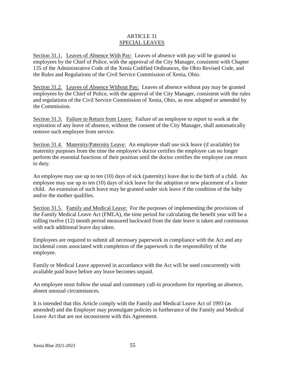#### ARTICLE 31 SPECIAL LEAVES

Section 31.1. Leaves of Absence With Pay: Leaves of absence with pay will be granted to employees by the Chief of Police, with the approval of the City Manager, consistent with Chapter 135 of the Administrative Code of the Xenia Codified Ordinances, the Ohio Revised Code, and the Rules and Regulations of the Civil Service Commission of Xenia, Ohio.

Section 31.2. Leaves of Absence Without Pay: Leaves of absence without pay may be granted employees by the Chief of Police, with the approval of the City Manager, consistent with the rules and regulations of the Civil Service Commission of Xenia, Ohio, as now adopted or amended by the Commission.

Section 31.3. Failure to Return from Leave: Failure of an employee to report to work at the expiration of any leave of absence, without the consent of the City Manager, shall automatically remove such employee from service.

Section 31.4. Maternity/Paternity Leave: An employee shall use sick leave (if available) for maternity purposes from the time the employee's doctor certifies the employee can no longer perform the essential functions of their position until the doctor certifies the employee can return to duty.

An employee may use up to ten (10) days of sick (paternity) leave due to the birth of a child. An employee may use up to ten (10) days of sick leave for the adoption or new placement of a foster child. An extension of such leave may be granted under sick leave if the condition of the baby and/or the mother qualifies.

Section 31.5. Family and Medical Leave: For the purposes of implementing the provisions of the Family Medical Leave Act (FMLA), the time period for calculating the benefit year will be a rolling twelve (12) month period measured backward from the date leave is taken and continuous with each additional leave day taken.

Employees are required to submit all necessary paperwork in compliance with the Act and any incidental costs associated with completion of the paperwork is the responsibility of the employee.

Family or Medical Leave approved in accordance with the Act will be used concurrently with available paid leave before any leave becomes unpaid.

An employee must follow the usual and customary call-in procedures for reporting an absence, absent unusual circumstances.

It is intended that this Article comply with the Family and Medical Leave Act of 1993 (as amended) and the Employer may promulgate policies in furtherance of the Family and Medical Leave Act that are not inconsistent with this Agreement.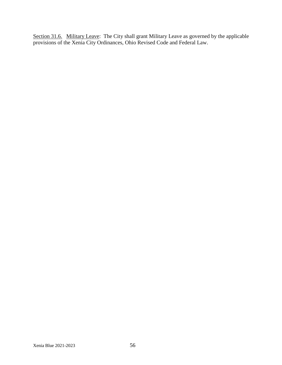Section 31.6. Military Leave: The City shall grant Military Leave as governed by the applicable provisions of the Xenia City Ordinances, Ohio Revised Code and Federal Law.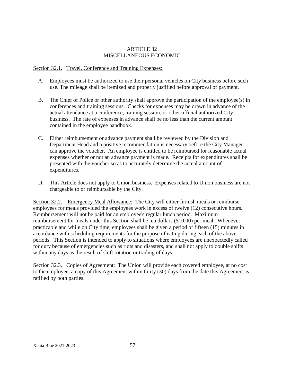#### ARTICLE 32 MISCELLANEOUS ECONOMIC

#### Section 32.1. Travel, Conference and Training Expenses:

- A. Employees must be authorized to use their personal vehicles on City business before such use. The mileage shall be itemized and properly justified before approval of payment.
- B. The Chief of Police or other authority shall approve the participation of the employee(s) in conferences and training sessions. Checks for expenses may be drawn in advance of the actual attendance at a conference, training session, or other official authorized City business. The rate of expenses in advance shall be no less than the current amount contained in the employee handbook.
- C. Either reimbursement or advance payment shall be reviewed by the Division and Department Head and a positive recommendation is necessary before the City Manager can approve the voucher. An employee is entitled to be reimbursed for reasonable actual expenses whether or not an advance payment is made. Receipts for expenditures shall be presented with the voucher so as to accurately determine the actual amount of expenditures.
- D. This Article does not apply to Union business. Expenses related to Union business are not chargeable to or reimbursable by the City.

Section 32.2. Emergency Meal Allowance: The City will either furnish meals or reimburse employees for meals provided the employees work in excess of twelve (12) consecutive hours. Reimbursement will not be paid for an employee's regular lunch period. Maximum reimbursement for meals under this Section shall be ten dollars (\$10.00) per meal. Whenever practicable and while on City time, employees shall be given a period of fifteen (15) minutes in accordance with scheduling requirements for the purpose of eating during each of the above periods. This Section is intended to apply to situations where employees are unexpectedly called for duty because of emergencies such as riots and disasters, and shall not apply to double shifts within any days as the result of shift rotation or trading of days.

Section 32.3. Copies of Agreement: The Union will provide each covered employee, at no cost to the employee, a copy of this Agreement within thirty (30) days from the date this Agreement is ratified by both parties.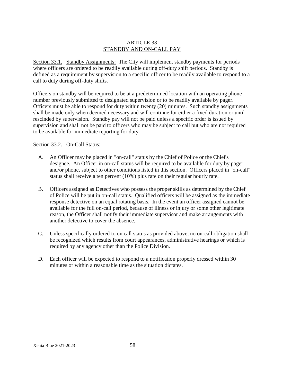#### ARTICLE 33 STANDBY AND ON-CALL PAY

Section 33.1. Standby Assignments: The City will implement standby payments for periods where officers are ordered to be readily available during off-duty shift periods. Standby is defined as a requirement by supervision to a specific officer to be readily available to respond to a call to duty during off-duty shifts.

Officers on standby will be required to be at a predetermined location with an operating phone number previously submitted to designated supervision or to be readily available by pager. Officers must be able to respond for duty within twenty (20) minutes. Such standby assignments shall be made only when deemed necessary and will continue for either a fixed duration or until rescinded by supervision. Standby pay will not be paid unless a specific order is issued by supervision and shall not be paid to officers who may be subject to call but who are not required to be available for immediate reporting for duty.

#### Section 33.2. On-Call Status:

- A. An Officer may be placed in "on-call" status by the Chief of Police or the Chief's designee. An Officer in on-call status will be required to be available for duty by pager and/or phone, subject to other conditions listed in this section. Officers placed in "on-call" status shall receive a ten percent (10%) plus rate on their regular hourly rate.
- B. Officers assigned as Detectives who possess the proper skills as determined by the Chief of Police will be put in on-call status. Qualified officers will be assigned as the immediate response detective on an equal rotating basis. In the event an officer assigned cannot be available for the full on-call period, because of illness or injury or some other legitimate reason, the Officer shall notify their immediate supervisor and make arrangements with another detective to cover the absence.
- C. Unless specifically ordered to on call status as provided above, no on-call obligation shall be recognized which results from court appearances, administrative hearings or which is required by any agency other than the Police Division.
- D. Each officer will be expected to respond to a notification properly dressed within 30 minutes or within a reasonable time as the situation dictates.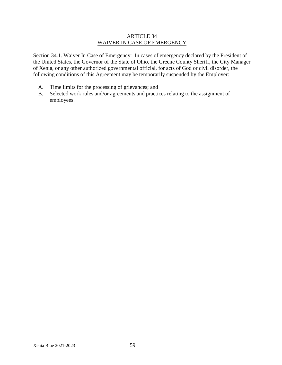#### ARTICLE 34 WAIVER IN CASE OF EMERGENCY

Section 34.1. Waiver In Case of Emergency: In cases of emergency declared by the President of the United States, the Governor of the State of Ohio, the Greene County Sheriff, the City Manager of Xenia, or any other authorized governmental official, for acts of God or civil disorder, the following conditions of this Agreement may be temporarily suspended by the Employer:

- A. Time limits for the processing of grievances; and
- B. Selected work rules and/or agreements and practices relating to the assignment of employees.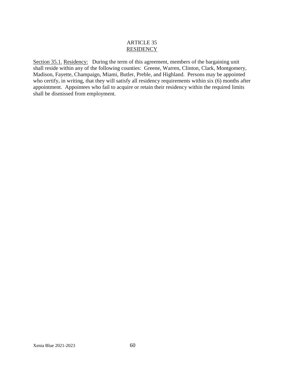#### ARTICLE 35 **RESIDENCY**

Section 35.1. Residency: During the term of this agreement, members of the bargaining unit shall reside within any of the following counties: Greene, Warren, Clinton, Clark, Montgomery, Madison, Fayette, Champaign, Miami, Butler, Preble, and Highland. Persons may be appointed who certify, in writing, that they will satisfy all residency requirements within six (6) months after appointment. Appointees who fail to acquire or retain their residency within the required limits shall be dismissed from employment.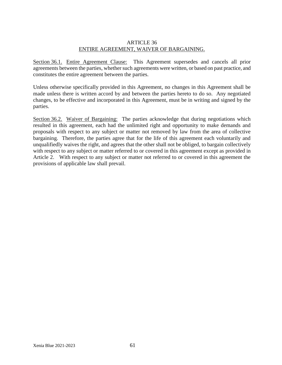#### ARTICLE 36 ENTIRE AGREEMENT, WAIVER OF BARGAINING.

Section 36.1. Entire Agreement Clause: This Agreement supersedes and cancels all prior agreements between the parties, whether such agreements were written, or based on past practice, and constitutes the entire agreement between the parties.

Unless otherwise specifically provided in this Agreement, no changes in this Agreement shall be made unless there is written accord by and between the parties hereto to do so. Any negotiated changes, to be effective and incorporated in this Agreement, must be in writing and signed by the parties.

Section 36.2. Waiver of Bargaining: The parties acknowledge that during negotiations which resulted in this agreement, each had the unlimited right and opportunity to make demands and proposals with respect to any subject or matter not removed by law from the area of collective bargaining. Therefore, the parties agree that for the life of this agreement each voluntarily and unqualifiedly waives the right, and agrees that the other shall not be obliged, to bargain collectively with respect to any subject or matter referred to or covered in this agreement except as provided in Article 2. With respect to any subject or matter not referred to or covered in this agreement the provisions of applicable law shall prevail.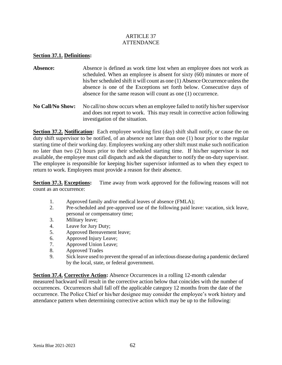#### ARTICLE 37 ATTENDANCE

#### **Section 37.1. Definitions:**

- Absence: Absence is defined as work time lost when an employee does not work as scheduled. When an employee is absent for sixty (60) minutes or more of his/her scheduled shift it will count as one (1) Absence Occurrence unless the absence is one of the Exceptions set forth below. Consecutive days of absence for the same reason will count as one (1) occurrence.
- **No Call/No Show:** No call/no show occurs when an employee failed to notify his/her supervisor and does not report to work. This may result in corrective action following investigation of the situation.

**Section 37.2. Notification:** Each employee working first (day) shift shall notify, or cause the on duty shift supervisor to be notified, of an absence not later than one (1) hour prior to the regular starting time of their working day. Employees working any other shift must make such notification no later than two (2) hours prior to their scheduled starting time. If his/her supervisor is not available, the employee must call dispatch and ask the dispatcher to notify the on-duty supervisor. The employee is responsible for keeping his/her supervisor informed as to when they expect to return to work. Employees must provide a reason for their absence.

**Section 37.3. Exceptions:** Time away from work approved for the following reasons will not count as an occurrence:

- 1. Approved family and/or medical leaves of absence (FMLA);
- 2. Pre-scheduled and pre-approved use of the following paid leave: vacation, sick leave, personal or compensatory time;
- 3. Military leave;
- 4. Leave for Jury Duty;
- 5. Approved Bereavement leave;
- 6. Approved Injury Leave;
- 7. Approved Union Leave;
- 8. Approved Trades
- 9. Sick leave used to prevent the spread of an infectious disease during a pandemic declared by the local, state, or federal government.

**Section 37.4. Corrective Action:** Absence Occurrences in a rolling 12-month calendar measured backward will result in the corrective action below that coincides with the number of occurrences. Occurrences shall fall off the applicable category 12 months from the date of the occurrence. The Police Chief or his/her designee may consider the employee's work history and attendance pattern when determining corrective action which may be up to the following: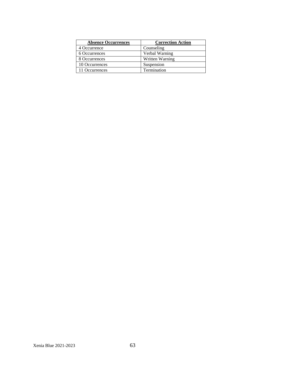| <b>Absence Occurrences</b> | <b>Correction Action</b> |
|----------------------------|--------------------------|
| 4 Occurrence               | Counseling               |
| 6 Occurrences              | Verbal Warning           |
| 8 Occurrences              | Written Warning          |
| 10 Occurrences             | Suspension               |
| 11 Occurrences             | Termination              |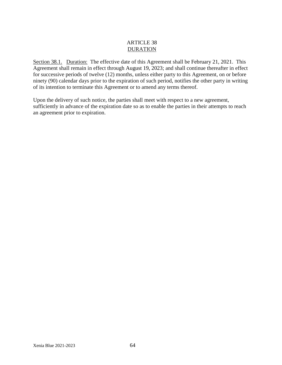#### ARTICLE 38 DURATION

Section 38.1. Duration: The effective date of this Agreement shall be February 21, 2021. This Agreement shall remain in effect through August 19, 2023; and shall continue thereafter in effect for successive periods of twelve (12) months, unless either party to this Agreement, on or before ninety (90) calendar days prior to the expiration of such period, notifies the other party in writing of its intention to terminate this Agreement or to amend any terms thereof.

Upon the delivery of such notice, the parties shall meet with respect to a new agreement, sufficiently in advance of the expiration date so as to enable the parties in their attempts to reach an agreement prior to expiration.